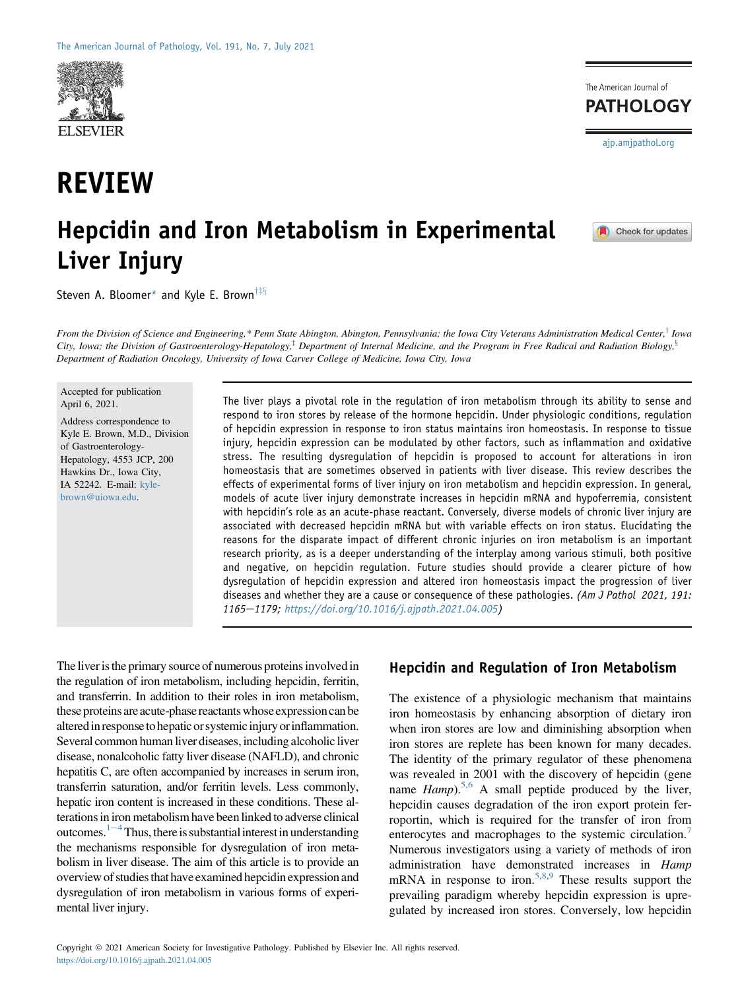

# REVIEW

# Hepcidin and Iron Metabolism in Experimental Liver Injury

Steven A. Bloomer\* and Kyle E. Brown<sup>†‡§</sup>

From the Division of Science and Engineering,\* Penn State Abington, Abington, Pennsylvania; the Iowa City Veterans Administration Medical Center,<sup>†</sup> Iowa City, Iowa; the Division of Gastroenterology-Hepatology,<sup>‡</sup> Department of Internal Medicine, and the Program in Free Radical and Radiation Biology,<sup>§</sup> Department of Radiation Oncology, University of Iowa Carver College of Medicine, Iowa City, Iowa

Accepted for publication April 6, 2021.

Address correspondence to Kyle E. Brown, M.D., Division of Gastroenterology-Hepatology, 4553 JCP, 200 Hawkins Dr., Iowa City, IA 52242. E-mail: [kyle](mailto:kyle-brown@uiowa.edu)[brown@uiowa.edu.](mailto:kyle-brown@uiowa.edu)

The liver plays a pivotal role in the regulation of iron metabolism through its ability to sense and respond to iron stores by release of the hormone hepcidin. Under physiologic conditions, regulation of hepcidin expression in response to iron status maintains iron homeostasis. In response to tissue injury, hepcidin expression can be modulated by other factors, such as inflammation and oxidative stress. The resulting dysregulation of hepcidin is proposed to account for alterations in iron homeostasis that are sometimes observed in patients with liver disease. This review describes the effects of experimental forms of liver injury on iron metabolism and hepcidin expression. In general, models of acute liver injury demonstrate increases in hepcidin mRNA and hypoferremia, consistent with hepcidin's role as an acute-phase reactant. Conversely, diverse models of chronic liver injury are associated with decreased hepcidin mRNA but with variable effects on iron status. Elucidating the reasons for the disparate impact of different chronic injuries on iron metabolism is an important research priority, as is a deeper understanding of the interplay among various stimuli, both positive and negative, on hepcidin regulation. Future studies should provide a clearer picture of how dysregulation of hepcidin expression and altered iron homeostasis impact the progression of liver diseases and whether they are a cause or consequence of these pathologies. (Am J Pathol 2021, 191: 1165e1179; [https://doi.org/10.1016/j.ajpath.2021.04.005\)](https://doi.org/10.1016/j.ajpath.2021.04.005)

The liver is the primary source of numerous proteins involved in the regulation of iron metabolism, including hepcidin, ferritin, and transferrin. In addition to their roles in iron metabolism, these proteins are acute-phase reactants whose expression can be altered in response to hepatic or systemic injury or inflammation. Several common human liver diseases, including alcoholic liver disease, nonalcoholic fatty liver disease (NAFLD), and chronic hepatitis C, are often accompanied by increases in serum iron, transferrin saturation, and/or ferritin levels. Less commonly, hepatic iron content is increased in these conditions. These alterations in iron metabolism have been linked to adverse clinical outcomes. $1-4$  $1-4$ Thus, there is substantial interest in understanding the mechanisms responsible for dysregulation of iron metabolism in liver disease. The aim of this article is to provide an overview of studies that have examined hepcidin expression and dysregulation of iron metabolism in various forms of experimental liver injury.

#### Hepcidin and Regulation of Iron Metabolism

The existence of a physiologic mechanism that maintains iron homeostasis by enhancing absorption of dietary iron when iron stores are low and diminishing absorption when iron stores are replete has been known for many decades. The identity of the primary regulator of these phenomena was revealed in 2001 with the discovery of hepcidin (gene name  $Hamp$ ).<sup>[5](#page-11-1)[,6](#page-11-2)</sup> A small peptide produced by the liver, hepcidin causes degradation of the iron export protein ferroportin, which is required for the transfer of iron from enterocytes and macrophages to the systemic circulation.<sup>[7](#page-11-3)</sup> Numerous investigators using a variety of methods of iron administration have demonstrated increases in Hamp mRNA in response to iron.<sup>[5,](#page-11-1)[8](#page-11-4)[,9](#page-11-5)</sup> These results support the prevailing paradigm whereby hepcidin expression is upregulated by increased iron stores. Conversely, low hepcidin

Check for updates

[ajp.amjpathol.org](http://ajp.amjpathol.org)

The American Journal of **PATHOLOGY**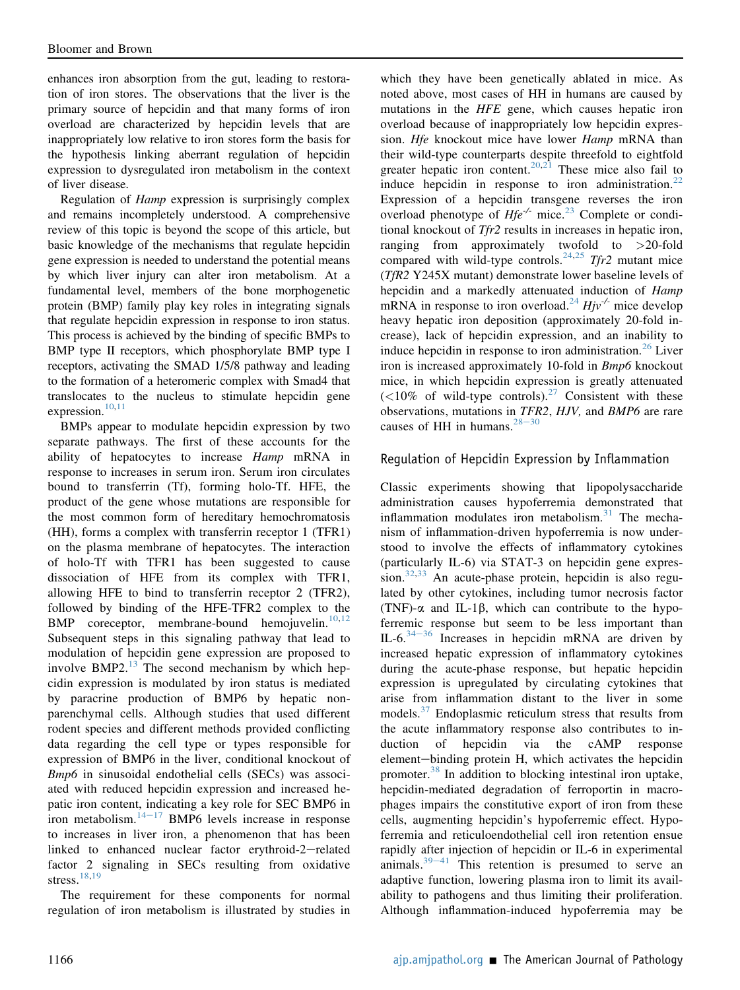enhances iron absorption from the gut, leading to restoration of iron stores. The observations that the liver is the primary source of hepcidin and that many forms of iron overload are characterized by hepcidin levels that are inappropriately low relative to iron stores form the basis for the hypothesis linking aberrant regulation of hepcidin expression to dysregulated iron metabolism in the context of liver disease.

Regulation of Hamp expression is surprisingly complex and remains incompletely understood. A comprehensive review of this topic is beyond the scope of this article, but basic knowledge of the mechanisms that regulate hepcidin gene expression is needed to understand the potential means by which liver injury can alter iron metabolism. At a fundamental level, members of the bone morphogenetic protein (BMP) family play key roles in integrating signals that regulate hepcidin expression in response to iron status. This process is achieved by the binding of specific BMPs to BMP type II receptors, which phosphorylate BMP type I receptors, activating the SMAD 1/5/8 pathway and leading to the formation of a heteromeric complex with Smad4 that translocates to the nucleus to stimulate hepcidin gene expression. $10,11$  $10,11$ 

BMPs appear to modulate hepcidin expression by two separate pathways. The first of these accounts for the ability of hepatocytes to increase Hamp mRNA in response to increases in serum iron. Serum iron circulates bound to transferrin (Tf), forming holo-Tf. HFE, the product of the gene whose mutations are responsible for the most common form of hereditary hemochromatosis (HH), forms a complex with transferrin receptor 1 (TFR1) on the plasma membrane of hepatocytes. The interaction of holo-Tf with TFR1 has been suggested to cause dissociation of HFE from its complex with TFR1, allowing HFE to bind to transferrin receptor 2 (TFR2), followed by binding of the HFE-TFR2 complex to the BMP coreceptor, membrane-bound hemojuvelin.<sup>[10](#page-11-6)[,12](#page-12-0)</sup> Subsequent steps in this signaling pathway that lead to modulation of hepcidin gene expression are proposed to involve BMP2. $^{13}$  $^{13}$  $^{13}$  The second mechanism by which hepcidin expression is modulated by iron status is mediated by paracrine production of BMP6 by hepatic nonparenchymal cells. Although studies that used different rodent species and different methods provided conflicting data regarding the cell type or types responsible for expression of BMP6 in the liver, conditional knockout of Bmp6 in sinusoidal endothelial cells (SECs) was associated with reduced hepcidin expression and increased hepatic iron content, indicating a key role for SEC BMP6 in iron metabolism. $14-17$  $14-17$  $14-17$  BMP6 levels increase in response to increases in liver iron, a phenomenon that has been linked to enhanced nuclear factor erythroid-2-related factor 2 signaling in SECs resulting from oxidative stress. $\frac{18,19}{ }$  $\frac{18,19}{ }$  $\frac{18,19}{ }$  $\frac{18,19}{ }$ 

The requirement for these components for normal regulation of iron metabolism is illustrated by studies in which they have been genetically ablated in mice. As noted above, most cases of HH in humans are caused by mutations in the HFE gene, which causes hepatic iron overload because of inappropriately low hepcidin expression. Hfe knockout mice have lower Hamp mRNA than their wild-type counterparts despite threefold to eightfold greater hepatic iron content.<sup>[20](#page-12-5)[,21](#page-12-6)</sup> These mice also fail to induce hepcidin in response to iron administration.<sup>[22](#page-12-7)</sup> Expression of a hepcidin transgene reverses the iron overload phenotype of  $Hfe^{-/-}$  mice.<sup>[23](#page-12-8)</sup> Complete or conditional knockout of Tfr2 results in increases in hepatic iron, ranging from approximately twofold to >20-fold compared with wild-type controls.<sup>[24,](#page-12-9)[25](#page-12-10)</sup> Tfr2 mutant mice (TfR2 Y245X mutant) demonstrate lower baseline levels of hepcidin and a markedly attenuated induction of Hamp mRNA in response to iron overload.<sup>[24](#page-12-9)</sup>  $Hjv^{-1}$  mice develop heavy hepatic iron deposition (approximately 20-fold increase), lack of hepcidin expression, and an inability to induce hepcidin in response to iron administration.<sup>[26](#page-12-11)</sup> Liver iron is increased approximately 10-fold in Bmp6 knockout mice, in which hepcidin expression is greatly attenuated  $(<10\%$  of wild-type controls).<sup>[27](#page-12-12)</sup> Consistent with these observations, mutations in TFR2, HJV, and BMP6 are rare causes of HH in humans.<sup>[28](#page-12-13)-[30](#page-12-13)</sup>

#### Regulation of Hepcidin Expression by Inflammation

Classic experiments showing that lipopolysaccharide administration causes hypoferremia demonstrated that inflammation modulates iron metabolism. $31$  The mechanism of inflammation-driven hypoferremia is now understood to involve the effects of inflammatory cytokines (particularly IL-6) via STAT-3 on hepcidin gene expression. $32,33$  $32,33$  An acute-phase protein, hepcidin is also regulated by other cytokines, including tumor necrosis factor (TNF)- $\alpha$  and IL-1 $\beta$ , which can contribute to the hypoferremic response but seem to be less important than IL-6. $34-36$  $34-36$  $34-36$  Increases in hepcidin mRNA are driven by increased hepatic expression of inflammatory cytokines during the acute-phase response, but hepatic hepcidin expression is upregulated by circulating cytokines that arise from inflammation distant to the liver in some models.<sup>[37](#page-12-18)</sup> Endoplasmic reticulum stress that results from the acute inflammatory response also contributes to induction of hepcidin via the cAMP response element-binding protein H, which activates the hepcidin promoter.[38](#page-12-19) In addition to blocking intestinal iron uptake, hepcidin-mediated degradation of ferroportin in macrophages impairs the constitutive export of iron from these cells, augmenting hepcidin's hypoferremic effect. Hypoferremia and reticuloendothelial cell iron retention ensue rapidly after injection of hepcidin or IL-6 in experimental animals. $39-41$  $39-41$  $39-41$  This retention is presumed to serve an adaptive function, lowering plasma iron to limit its availability to pathogens and thus limiting their proliferation. Although inflammation-induced hypoferremia may be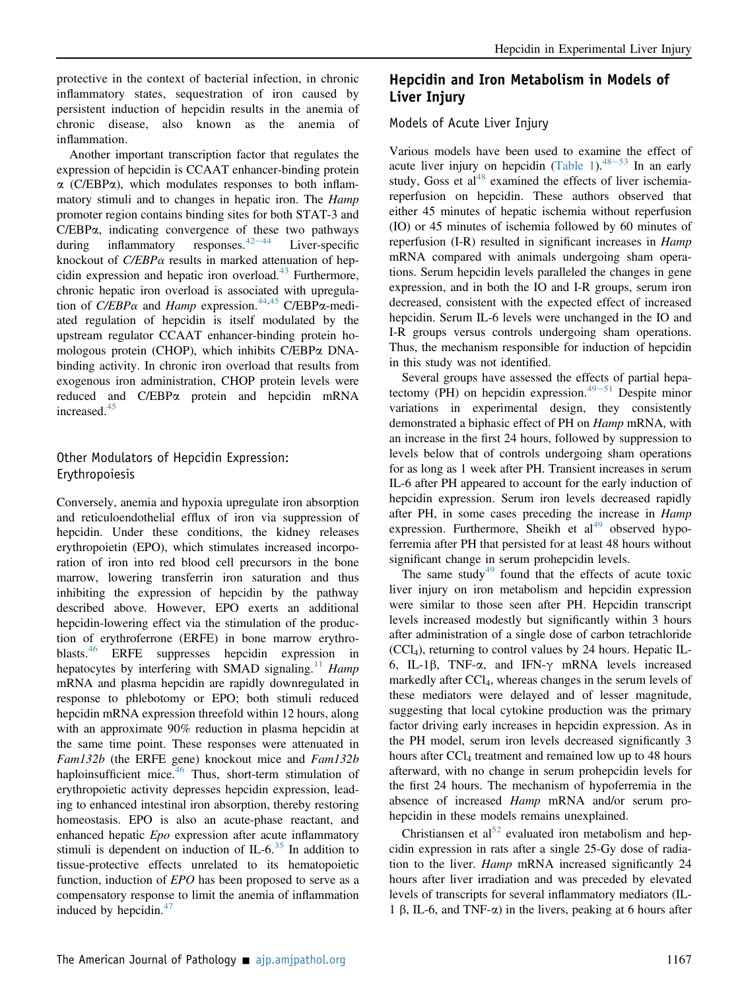protective in the context of bacterial infection, in chronic inflammatory states, sequestration of iron caused by persistent induction of hepcidin results in the anemia of chronic disease, also known as the anemia of inflammation.

Another important transcription factor that regulates the expression of hepcidin is CCAAT enhancer-binding protein  $\alpha$  (C/EBP $\alpha$ ), which modulates responses to both inflammatory stimuli and to changes in hepatic iron. The *Hamp* promoter region contains binding sites for both STAT-3 and  $C/EBP\alpha$ , indicating convergence of these two pathways during inflammatory responses.<sup>42–44</sup> Liver-specific responses. $42-44$  $42-44$  $42-44$ knockout of  $C/EBP\alpha$  results in marked attenuation of hepcidin expression and hepatic iron overload. $43$  Furthermore, chronic hepatic iron overload is associated with upregulation of C/EBP $\alpha$  and Hamp expression.<sup>[44](#page-12-23)[,45](#page-13-0)</sup> C/EBP $\alpha$ -mediated regulation of hepcidin is itself modulated by the upstream regulator CCAAT enhancer-binding protein homologous protein (CHOP), which inhibits C/EBPa DNAbinding activity. In chronic iron overload that results from exogenous iron administration, CHOP protein levels were reduced and C/EBPa protein and hepcidin mRNA increased.<sup>[45](#page-13-0)</sup>

#### Other Modulators of Hepcidin Expression: Erythropoiesis

Conversely, anemia and hypoxia upregulate iron absorption and reticuloendothelial efflux of iron via suppression of hepcidin. Under these conditions, the kidney releases erythropoietin (EPO), which stimulates increased incorporation of iron into red blood cell precursors in the bone marrow, lowering transferrin iron saturation and thus inhibiting the expression of hepcidin by the pathway described above. However, EPO exerts an additional hepcidin-lowering effect via the stimulation of the production of erythroferrone (ERFE) in bone marrow erythro-blasts.<sup>[46](#page-13-1)</sup> ERFE suppresses hepcidin expression in hepatocytes by interfering with SMAD signaling.<sup>[11](#page-11-7)</sup> Hamp mRNA and plasma hepcidin are rapidly downregulated in response to phlebotomy or EPO; both stimuli reduced hepcidin mRNA expression threefold within 12 hours, along with an approximate 90% reduction in plasma hepcidin at the same time point. These responses were attenuated in Fam132b (the ERFE gene) knockout mice and Fam132b haploinsufficient mice.<sup>[46](#page-13-1)</sup> Thus, short-term stimulation of erythropoietic activity depresses hepcidin expression, leading to enhanced intestinal iron absorption, thereby restoring homeostasis. EPO is also an acute-phase reactant, and enhanced hepatic *Epo* expression after acute inflammatory stimuli is dependent on induction of IL-6. $35$  In addition to tissue-protective effects unrelated to its hematopoietic function, induction of EPO has been proposed to serve as a compensatory response to limit the anemia of inflammation induced by hepcidin. $47$ 

## Hepcidin and Iron Metabolism in Models of Liver Injury

#### Models of Acute Liver Injury

Various models have been used to examine the effect of acute liver injury on hepcidin ([Table 1\)](#page-3-0). $48-53$  $48-53$  $48-53$  In an early study, Goss et  $a1^{48}$  $a1^{48}$  $a1^{48}$  examined the effects of liver ischemiareperfusion on hepcidin. These authors observed that either 45 minutes of hepatic ischemia without reperfusion (IO) or 45 minutes of ischemia followed by 60 minutes of reperfusion (I-R) resulted in significant increases in *Hamp* mRNA compared with animals undergoing sham operations. Serum hepcidin levels paralleled the changes in gene expression, and in both the IO and I-R groups, serum iron decreased, consistent with the expected effect of increased hepcidin. Serum IL-6 levels were unchanged in the IO and I-R groups versus controls undergoing sham operations. Thus, the mechanism responsible for induction of hepcidin in this study was not identified.

Several groups have assessed the effects of partial hepa-tectomy (PH) on hepcidin expression.<sup>[49](#page-13-4)–[51](#page-13-4)</sup> Despite minor variations in experimental design, they consistently demonstrated a biphasic effect of PH on Hamp mRNA, with an increase in the first 24 hours, followed by suppression to levels below that of controls undergoing sham operations for as long as 1 week after PH. Transient increases in serum IL-6 after PH appeared to account for the early induction of hepcidin expression. Serum iron levels decreased rapidly after PH, in some cases preceding the increase in *Hamp* expression. Furthermore, Sheikh et  $al<sup>49</sup>$  $al<sup>49</sup>$  $al<sup>49</sup>$  observed hypoferremia after PH that persisted for at least 48 hours without significant change in serum prohepcidin levels.

The same study<sup>[49](#page-13-4)</sup> found that the effects of acute toxic liver injury on iron metabolism and hepcidin expression were similar to those seen after PH. Hepcidin transcript levels increased modestly but significantly within 3 hours after administration of a single dose of carbon tetrachloride  $(CCl<sub>4</sub>)$ , returning to control values by 24 hours. Hepatic IL-6, IL-1 $\beta$ , TNF- $\alpha$ , and IFN- $\gamma$  mRNA levels increased markedly after CCl<sub>4</sub>, whereas changes in the serum levels of these mediators were delayed and of lesser magnitude, suggesting that local cytokine production was the primary factor driving early increases in hepcidin expression. As in the PH model, serum iron levels decreased significantly 3 hours after CCl<sub>4</sub> treatment and remained low up to 48 hours afterward, with no change in serum prohepcidin levels for the first 24 hours. The mechanism of hypoferremia in the absence of increased *Hamp* mRNA and/or serum prohepcidin in these models remains unexplained.

Christiansen et al<sup>[52](#page-13-5)</sup> evaluated iron metabolism and hepcidin expression in rats after a single 25-Gy dose of radiation to the liver. *Hamp* mRNA increased significantly 24 hours after liver irradiation and was preceded by elevated levels of transcripts for several inflammatory mediators (IL-1  $\beta$ , IL-6, and TNF- $\alpha$ ) in the livers, peaking at 6 hours after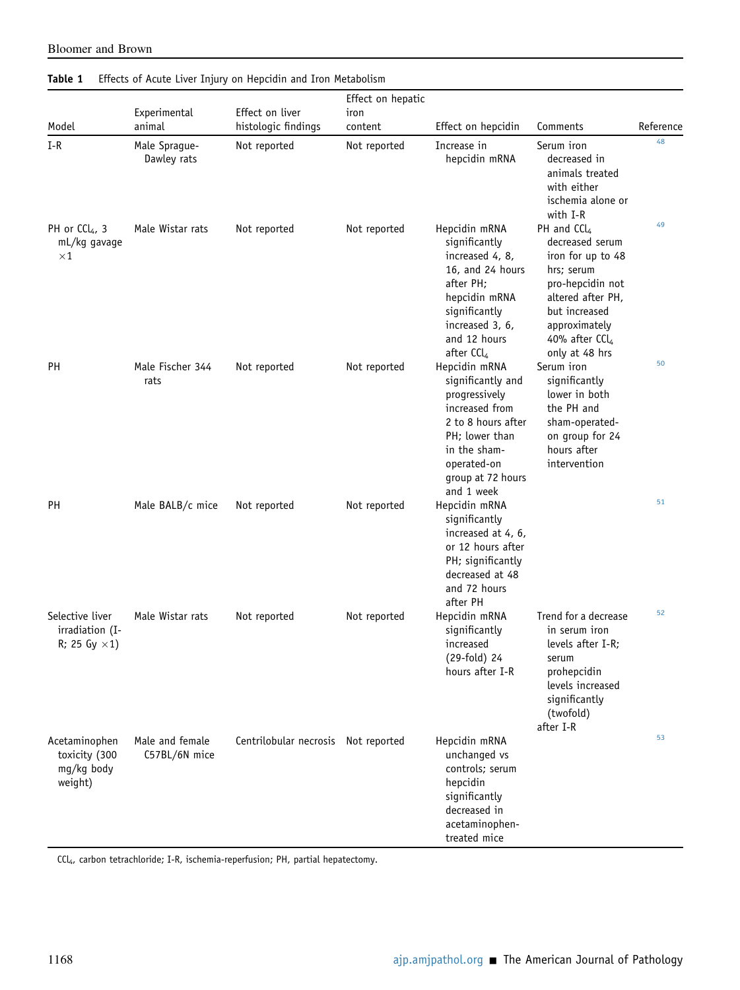| Model                                                      | Experimental<br>animal           | Effect on liver<br>histologic findings | Effect on hepatic |                                                                                                                                                                                   |                                                                                                                                                                                                |           |
|------------------------------------------------------------|----------------------------------|----------------------------------------|-------------------|-----------------------------------------------------------------------------------------------------------------------------------------------------------------------------------|------------------------------------------------------------------------------------------------------------------------------------------------------------------------------------------------|-----------|
|                                                            |                                  |                                        | iron<br>content   | Effect on hepcidin                                                                                                                                                                | Comments                                                                                                                                                                                       | Reference |
| $I-R$                                                      | Male Sprague-<br>Dawley rats     | Not reported                           | Not reported      | Increase in<br>hepcidin mRNA                                                                                                                                                      | Serum iron<br>decreased in<br>animals treated<br>with either<br>ischemia alone or<br>with I-R                                                                                                  | 48        |
| PH or CCl <sub>4</sub> , 3<br>mL/kg gavage<br>$\times 1$   | Male Wistar rats                 | Not reported                           | Not reported      | Hepcidin mRNA<br>significantly<br>increased 4, 8,<br>16, and 24 hours<br>after PH;<br>hepcidin mRNA<br>significantly<br>increased 3, 6,<br>and 12 hours<br>after CCl <sub>4</sub> | PH and $CCl4$<br>decreased serum<br>iron for up to 48<br>hrs; serum<br>pro-hepcidin not<br>altered after PH,<br>but increased<br>approximately<br>40% after CCl <sub>4</sub><br>only at 48 hrs | 49        |
| PH                                                         | Male Fischer 344<br>rats         | Not reported                           | Not reported      | Hepcidin mRNA<br>significantly and<br>progressively<br>increased from<br>2 to 8 hours after<br>PH; lower than<br>in the sham-<br>operated-on<br>group at 72 hours<br>and 1 week   | Serum iron<br>significantly<br>lower in both<br>the PH and<br>sham-operated-<br>on group for 24<br>hours after<br>intervention                                                                 | 50        |
| PH                                                         | Male BALB/c mice                 | Not reported                           | Not reported      | Hepcidin mRNA<br>significantly<br>increased at 4, 6,<br>or 12 hours after<br>PH; significantly<br>decreased at 48<br>and 72 hours<br>after PH                                     |                                                                                                                                                                                                | 51        |
| Selective liver<br>irradiation (I-<br>R; 25 Gy $\times$ 1) | Male Wistar rats                 | Not reported                           | Not reported      | Hepcidin mRNA<br>significantly<br>increased<br>(29-fold) 24<br>hours after I-R                                                                                                    | Trend for a decrease<br>in serum iron<br>levels after I-R;<br>serum<br>prohepcidin<br>levels increased<br>significantly<br>(twofold)<br>after I-R                                              | 52        |
| Acetaminophen<br>toxicity (300<br>mg/kg body<br>weight)    | Male and female<br>C57BL/6N mice | Centrilobular necrosis Not reported    |                   | Hepcidin mRNA<br>unchanged vs<br>controls; serum<br>hepcidin<br>significantly<br>decreased in<br>acetaminophen-<br>treated mice                                                   |                                                                                                                                                                                                | 53        |

### <span id="page-3-0"></span>Table 1 Effects of Acute Liver Injury on Hepcidin and Iron Metabolism

Bloomer and Brown

CCl4, carbon tetrachloride; I-R, ischemia-reperfusion; PH, partial hepatectomy.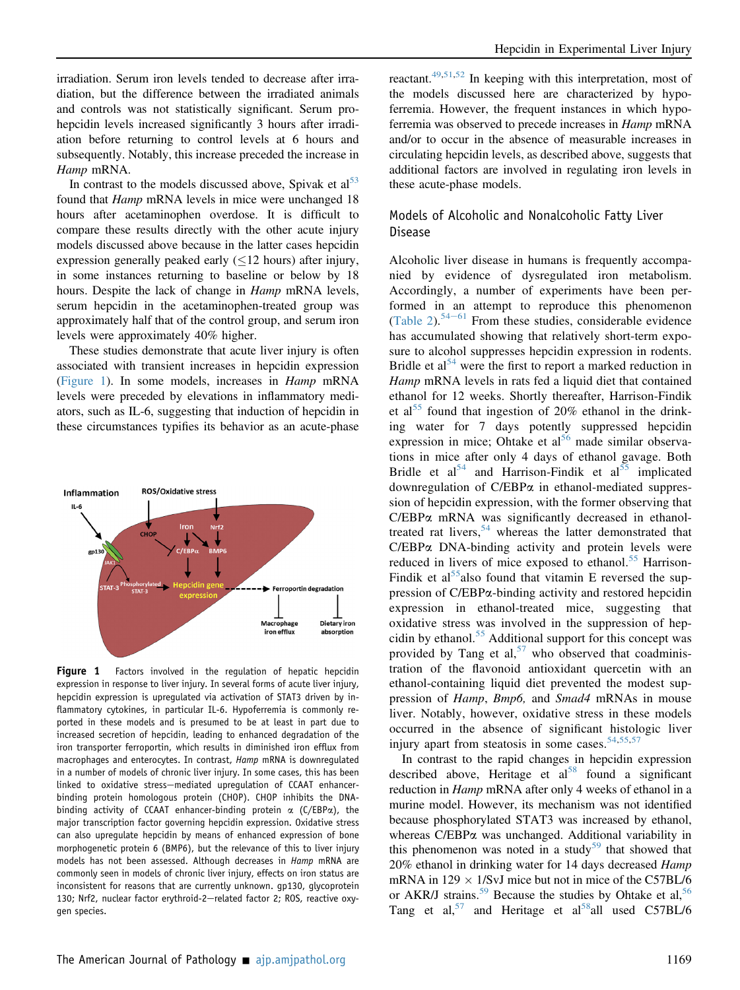irradiation. Serum iron levels tended to decrease after irradiation, but the difference between the irradiated animals and controls was not statistically significant. Serum prohepcidin levels increased significantly 3 hours after irradiation before returning to control levels at 6 hours and subsequently. Notably, this increase preceded the increase in Hamp mRNA.

In contrast to the models discussed above, Spivak et  $al<sup>53</sup>$ found that *Hamp* mRNA levels in mice were unchanged 18 hours after acetaminophen overdose. It is difficult to compare these results directly with the other acute injury models discussed above because in the latter cases hepcidin expression generally peaked early  $(\leq 12$  hours) after injury, in some instances returning to baseline or below by 18 hours. Despite the lack of change in *Hamp* mRNA levels, serum hepcidin in the acetaminophen-treated group was approximately half that of the control group, and serum iron levels were approximately 40% higher.

These studies demonstrate that acute liver injury is often associated with transient increases in hepcidin expression [\(Figure 1](#page-4-0)). In some models, increases in Hamp mRNA levels were preceded by elevations in inflammatory mediators, such as IL-6, suggesting that induction of hepcidin in these circumstances typifies its behavior as an acute-phase

<span id="page-4-0"></span>

Figure 1 Factors involved in the regulation of hepatic hepcidin expression in response to liver injury. In several forms of acute liver injury, hepcidin expression is upregulated via activation of STAT3 driven by inflammatory cytokines, in particular IL-6. Hypoferremia is commonly reported in these models and is presumed to be at least in part due to increased secretion of hepcidin, leading to enhanced degradation of the iron transporter ferroportin, which results in diminished iron efflux from macrophages and enterocytes. In contrast, Hamp mRNA is downregulated in a number of models of chronic liver injury. In some cases, this has been linked to oxidative stress-mediated upregulation of CCAAT enhancerbinding protein homologous protein (CHOP). CHOP inhibits the DNAbinding activity of CCAAT enhancer-binding protein  $\alpha$  (C/EBP $\alpha$ ), the major transcription factor governing hepcidin expression. Oxidative stress can also upregulate hepcidin by means of enhanced expression of bone morphogenetic protein 6 (BMP6), but the relevance of this to liver injury models has not been assessed. Although decreases in Hamp mRNA are commonly seen in models of chronic liver injury, effects on iron status are inconsistent for reasons that are currently unknown. gp130, glycoprotein 130; Nrf2, nuclear factor erythroid-2-related factor 2; ROS, reactive oxygen species.

reactant.<sup>49,[51](#page-13-7)[,52](#page-13-5)</sup> In keeping with this interpretation, most of the models discussed here are characterized by hypoferremia. However, the frequent instances in which hypoferremia was observed to precede increases in Hamp mRNA and/or to occur in the absence of measurable increases in circulating hepcidin levels, as described above, suggests that additional factors are involved in regulating iron levels in these acute-phase models.

#### Models of Alcoholic and Nonalcoholic Fatty Liver Disease

Alcoholic liver disease in humans is frequently accompanied by evidence of dysregulated iron metabolism. Accordingly, a number of experiments have been performed in an attempt to reproduce this phenomenon [\(Table 2\)](#page-5-0).<sup>[54](#page-13-9)-[61](#page-13-9)</sup> From these studies, considerable evidence has accumulated showing that relatively short-term exposure to alcohol suppresses hepcidin expression in rodents. Bridle et  $a^{54}$  $a^{54}$  $a^{54}$  were the first to report a marked reduction in Hamp mRNA levels in rats fed a liquid diet that contained ethanol for 12 weeks. Shortly thereafter, Harrison-Findik et al<sup>[55](#page-13-10)</sup> found that ingestion of 20% ethanol in the drinking water for 7 days potently suppressed hepcidin expression in mice; Ohtake et al<sup>[56](#page-13-11)</sup> made similar observations in mice after only 4 days of ethanol gavage. Both Bridle et al<sup>[54](#page-13-9)</sup> and Harrison-Findik et al<sup>[55](#page-13-10)</sup> implicated downregulation of C/EBPa in ethanol-mediated suppression of hepcidin expression, with the former observing that C/EBPa mRNA was significantly decreased in ethanol-treated rat livers, <sup>[54](#page-13-9)</sup> whereas the latter demonstrated that  $C/EBP\alpha$  DNA-binding activity and protein levels were  $C/EBP\alpha$  DNA-binding activity and protein levels were reduced in livers of mice exposed to ethanol.<sup>[55](#page-13-10)</sup> Harrison-Findik et al<sup>[55](#page-13-10)</sup>also found that vitamin E reversed the suppression of C/EBPa-binding activity and restored hepcidin expression in ethanol-treated mice, suggesting that oxidative stress was involved in the suppression of hep-cidin by ethanol.<sup>[55](#page-13-10)</sup> Additional support for this concept was provided by Tang et al,<sup>[57](#page-13-12)</sup> who observed that coadministration of the flavonoid antioxidant quercetin with an ethanol-containing liquid diet prevented the modest suppression of *Hamp*, *Bmp6*, and *Smad4* mRNAs in mouse liver. Notably, however, oxidative stress in these models occurred in the absence of significant histologic liver injury apart from steatosis in some cases. $54,55,57$  $54,55,57$  $54,55,57$ 

In contrast to the rapid changes in hepcidin expression described above, Heritage et al<sup>[58](#page-13-13)</sup> found a significant reduction in Hamp mRNA after only 4 weeks of ethanol in a murine model. However, its mechanism was not identified because phosphorylated STAT3 was increased by ethanol, whereas C/EBP $\alpha$  was unchanged. Additional variability in this phenomenon was noted in a study<sup>[59](#page-13-14)</sup> that showed that 20% ethanol in drinking water for 14 days decreased Hamp mRNA in 129  $\times$  1/SvJ mice but not in mice of the C57BL/6 or AKR/J strains.<sup>[59](#page-13-14)</sup> Because the studies by Ohtake et al,<sup>56</sup> Tang et al,<sup>[57](#page-13-12)</sup> and Heritage et al<sup>[58](#page-13-13)</sup>all used C57BL/6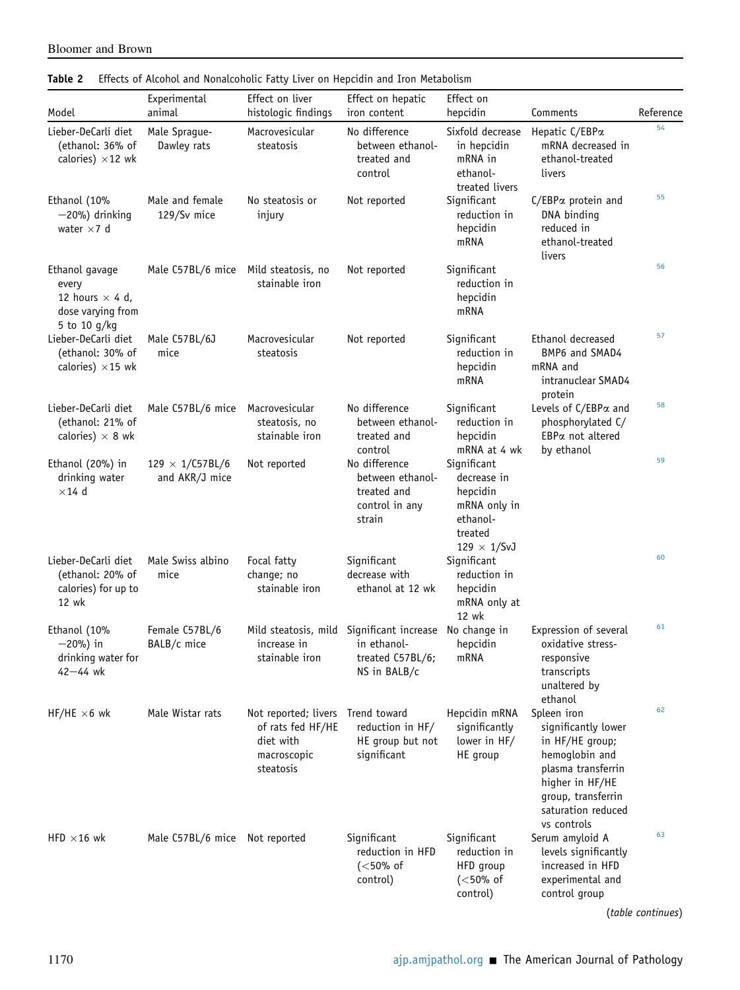| Model                                                                                  | Experimental<br>animal                     | Effect on liver<br>histologic findings                                                          | Effect on hepatic<br>iron content                                                                         | Effect on<br>hepcidin                                                                               | Comments                                                                                                                                                                    | Reference |
|----------------------------------------------------------------------------------------|--------------------------------------------|-------------------------------------------------------------------------------------------------|-----------------------------------------------------------------------------------------------------------|-----------------------------------------------------------------------------------------------------|-----------------------------------------------------------------------------------------------------------------------------------------------------------------------------|-----------|
| Lieber-DeCarli diet<br>(ethanol: 36% of<br>calories) $\times$ 12 wk                    | Male Sprague-<br>Dawley rats               | Macrovesicular<br>steatosis                                                                     | No difference<br>between ethanol-<br>treated and<br>control                                               | Sixfold decrease<br>in hepcidin<br>mRNA in<br>ethanol-<br>treated livers                            | Hepatic C/EBPa<br>mRNA decreased in<br>ethanol-treated<br>livers                                                                                                            | 54        |
| Ethanol (10%<br>$-20%$ ) drinking<br>water $\times$ 7 d                                | Male and female<br>129/Sv mice             | No steatosis or<br>injury                                                                       | Not reported                                                                                              | Significant<br>reduction in<br>hepcidin<br>mRNA                                                     | C/EBPa protein and<br>DNA binding<br>reduced in<br>ethanol-treated<br>livers                                                                                                | 55        |
| Ethanol gavage<br>every<br>12 hours $\times$ 4 d,<br>dose varying from<br>5 to 10 g/kg | Male C57BL/6 mice Mild steatosis, no       | stainable iron                                                                                  | Not reported                                                                                              | Significant<br>reduction in<br>hepcidin<br>mRNA                                                     |                                                                                                                                                                             | 56        |
| Lieber-DeCarli diet<br>(ethanol: 30% of<br>calories) $\times$ 15 wk                    | Male C57BL/6J<br>mice                      | Macrovesicular<br>steatosis                                                                     | Not reported                                                                                              | Significant<br>reduction in<br>hepcidin<br>mRNA                                                     | Ethanol decreased<br>BMP6 and SMAD4<br>mRNA and<br>intranuclear SMAD4<br>protein                                                                                            | 57        |
| Lieber-DeCarli diet<br>(ethanol: 21% of<br>calories) $\times$ 8 wk                     | Male C57BL/6 mice                          | Macrovesicular<br>steatosis, no<br>stainable iron                                               | No difference<br>between ethanol-<br>treated and<br>control                                               | Significant<br>reduction in<br>hepcidin<br>mRNA at 4 wk                                             | Levels of C/EBPa and<br>phosphorylated C/<br>$EBP\alpha$ not altered<br>by ethanol                                                                                          | 58        |
| Ethanol (20%) in<br>drinking water<br>$\times$ 14 d                                    | $129 \times 1 / C57BL/6$<br>and AKR/J mice | Not reported                                                                                    | No difference<br>between ethanol-<br>treated and<br>control in any<br>strain                              | Significant<br>decrease in<br>hepcidin<br>mRNA only in<br>ethanol-<br>treated<br>$129 \times 1/SvJ$ |                                                                                                                                                                             | 59        |
| Lieber-DeCarli diet<br>(ethanol: 20% of<br>calories) for up to<br>12 wk                | Male Swiss albino<br>mice                  | Focal fatty<br>change; no<br>stainable iron                                                     | Significant<br>decrease with<br>ethanol at 12 wk                                                          | Significant<br>reduction in<br>hepcidin<br>mRNA only at<br>12 wk                                    |                                                                                                                                                                             | 60        |
| Ethanol (10%<br>$-20%$ ) in<br>drinking water for<br>$42 - 44$ wk                      | Female C57BL/6<br>BALB/c mice              | increase in<br>stainable iron                                                                   | Mild steatosis, mild Significant increase No change in<br>in ethanol-<br>treated C57BL/6;<br>NS in BALB/c | hepcidin<br>mRNA                                                                                    | Expression of several<br>oxidative stress-<br>responsive<br>transcripts<br>unaltered by<br>ethanol                                                                          | 61        |
| HF/HE $\times$ 6 wk                                                                    | Male Wistar rats                           | Not reported; livers Trend toward<br>of rats fed HF/HE<br>diet with<br>macroscopic<br>steatosis | reduction in HF/<br>HE group but not<br>significant                                                       | Hepcidin mRNA<br>significantly<br>lower in HF/<br>HE group                                          | Spleen iron<br>significantly lower<br>in HF/HE group;<br>hemoglobin and<br>plasma transferrin<br>higher in HF/HE<br>group, transferrin<br>saturation reduced<br>vs controls | 62        |
| HFD $\times 16$ wk                                                                     | Male C57BL/6 mice Not reported             |                                                                                                 | Significant<br>reduction in HFD<br>( <b>50%</b> of<br>control)                                            | Significant<br>reduction in<br>HFD group<br>( <b>50%</b> of<br>control)                             | Serum amyloid A<br>levels significantly<br>increased in HFD<br>experimental and<br>control group                                                                            | 63        |

#### <span id="page-5-0"></span>Table 2 Effects of Alcohol and Nonalcoholic Fatty Liver on Hepcidin and Iron Metabolism

(table continues)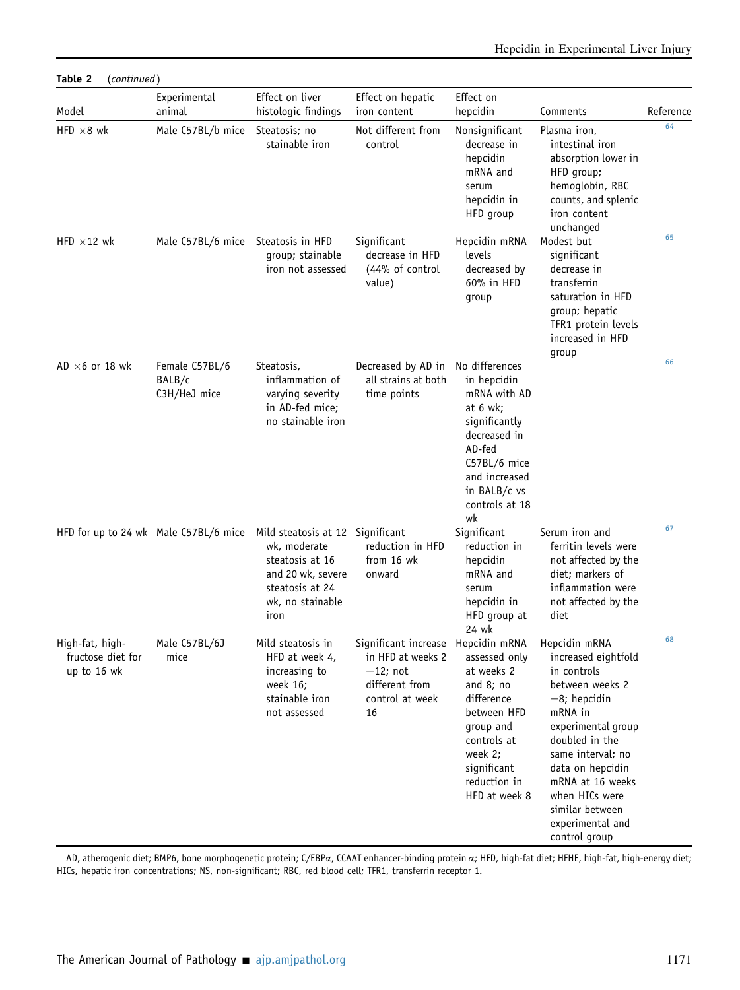| Table 2                                             | (continued)                              |                                                                                                                                         |                                                                                                                   |                                                                                                                                                                                 |                                                                                                                                                                                                                                                                                     |           |  |  |
|-----------------------------------------------------|------------------------------------------|-----------------------------------------------------------------------------------------------------------------------------------------|-------------------------------------------------------------------------------------------------------------------|---------------------------------------------------------------------------------------------------------------------------------------------------------------------------------|-------------------------------------------------------------------------------------------------------------------------------------------------------------------------------------------------------------------------------------------------------------------------------------|-----------|--|--|
| Model                                               | Experimental<br>animal                   | Effect on liver<br>histologic findings                                                                                                  | Effect on hepatic<br>iron content                                                                                 | Effect on<br>hepcidin                                                                                                                                                           | Comments                                                                                                                                                                                                                                                                            | Reference |  |  |
| HFD $\times$ 8 wk                                   | Male C57BL/b mice                        | Steatosis; no<br>stainable iron                                                                                                         | Not different from<br>control                                                                                     | Nonsignificant<br>decrease in<br>hepcidin<br>mRNA and<br>serum<br>hepcidin in<br>HFD group                                                                                      | Plasma iron,<br>intestinal iron<br>absorption lower in<br>HFD group;<br>hemoglobin, RBC<br>counts, and splenic<br>iron content<br>unchanged                                                                                                                                         | 64        |  |  |
| HFD $\times$ 12 wk                                  | Male C57BL/6 mice                        | Steatosis in HFD<br>group; stainable<br>iron not assessed                                                                               | Significant<br>decrease in HFD<br>(44% of control<br>value)                                                       | Hepcidin mRNA<br>levels<br>decreased by<br>60% in HFD<br>group                                                                                                                  | Modest but<br>significant<br>decrease in<br>transferrin<br>saturation in HFD<br>group; hepatic<br>TFR1 protein levels<br>increased in HFD<br>group                                                                                                                                  | 65        |  |  |
| AD $\times$ 6 or 18 wk                              | Female C57BL/6<br>BALB/c<br>C3H/HeJ mice | Steatosis,<br>inflammation of<br>varying severity<br>in AD-fed mice;<br>no stainable iron                                               | Decreased by AD in<br>all strains at both<br>time points                                                          | No differences<br>in hepcidin<br>mRNA with AD<br>at $6$ wk;<br>significantly<br>decreased in<br>AD-fed<br>C57BL/6 mice<br>and increased<br>in BALB/c vs<br>controls at 18<br>wk |                                                                                                                                                                                                                                                                                     | 66        |  |  |
|                                                     | HFD for up to 24 wk Male C57BL/6 mice    | Mild steatosis at 12 Significant<br>wk, moderate<br>steatosis at 16<br>and 20 wk, severe<br>steatosis at 24<br>wk, no stainable<br>iron | reduction in HFD<br>from 16 wk<br>onward                                                                          | Significant<br>reduction in<br>hepcidin<br>mRNA and<br>serum<br>hepcidin in<br>HFD group at<br>24 wk                                                                            | Serum iron and<br>ferritin levels were<br>not affected by the<br>diet: markers of<br>inflammation were<br>not affected by the<br>diet                                                                                                                                               | 67        |  |  |
| High-fat, high-<br>fructose diet for<br>up to 16 wk | Male C57BL/6J<br>mice                    | Mild steatosis in<br>HFD at week 4,<br>increasing to<br>week 16;<br>stainable iron<br>not assessed                                      | Significant increase Hepcidin mRNA<br>in HFD at weeks 2<br>$-12$ ; not<br>different from<br>control at week<br>16 | assessed only<br>at weeks 2<br>and $8;$ no<br>difference<br>between HFD<br>group and<br>controls at<br>week 2;<br>significant<br>reduction in<br>HFD at week 8                  | Hepcidin mRNA<br>increased eightfold<br>in controls<br>between weeks 2<br>$-8$ ; hepcidin<br>mRNA in<br>experimental group<br>doubled in the<br>same interval; no<br>data on hepcidin<br>mRNA at 16 weeks<br>when HICs were<br>similar between<br>experimental and<br>control group | 68        |  |  |

AD, atherogenic diet; BMP6, bone morphogenetic protein; C/EBPa, CCAAT enhancer-binding protein a; HFD, high-fat diet; HFHE, high-fat, high-energy diet; HICs, hepatic iron concentrations; NS, non-significant; RBC, red blood cell; TFR1, transferrin receptor 1.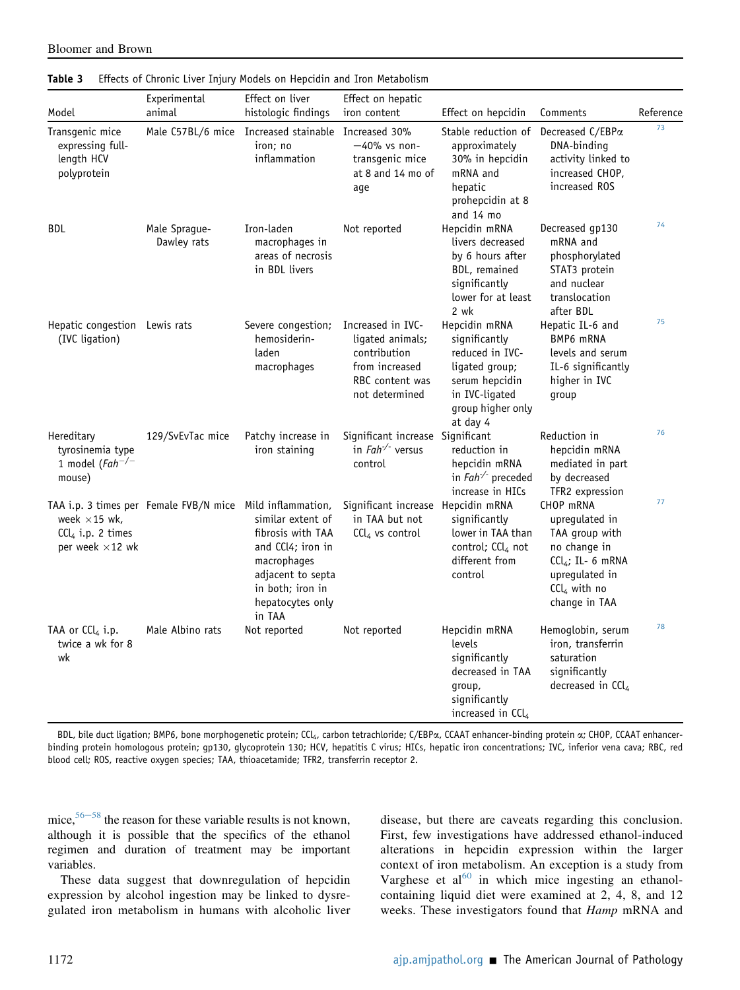| Model                                                                  | Experimental<br>animal                                    | Effect on liver<br>histologic findings                                                                                                            | Effect on hepatic<br>iron content                                                                            | Effect on hepcidin                                                                                                                       | Comments                                                                                                                                  | Reference |
|------------------------------------------------------------------------|-----------------------------------------------------------|---------------------------------------------------------------------------------------------------------------------------------------------------|--------------------------------------------------------------------------------------------------------------|------------------------------------------------------------------------------------------------------------------------------------------|-------------------------------------------------------------------------------------------------------------------------------------------|-----------|
| Transgenic mice<br>expressing full-<br>length HCV<br>polyprotein       |                                                           | Male C57BL/6 mice Increased stainable Increased 30%<br>iron; no<br>inflammation                                                                   | -40% vs non-<br>transgenic mice<br>at 8 and 14 mo of<br>aqe                                                  | Stable reduction of<br>approximately<br>30% in hepcidin<br>mRNA and<br>hepatic<br>prohepcidin at 8<br>and 14 mo                          | Decreased C/EBPa<br>DNA-binding<br>activity linked to<br>increased CHOP,<br>increased ROS                                                 | 73        |
| <b>BDL</b>                                                             | Male Sprague-<br>Dawley rats                              | Iron-laden<br>macrophages in<br>areas of necrosis<br>in BDL livers                                                                                | Not reported                                                                                                 | Hepcidin mRNA<br>livers decreased<br>by 6 hours after<br>BDL, remained<br>significantly<br>lower for at least<br>2 wk                    | Decreased gp130<br>mRNA and<br>phosphorylated<br>STAT3 protein<br>and nuclear<br>translocation<br>after BDL                               | 74        |
| Hepatic congestion Lewis rats<br>(IVC ligation)                        |                                                           | Severe congestion;<br>hemosiderin-<br>laden<br>macrophages                                                                                        | Increased in IVC-<br>ligated animals;<br>contribution<br>from increased<br>RBC content was<br>not determined | Hepcidin mRNA<br>significantly<br>reduced in IVC-<br>ligated group;<br>serum hepcidin<br>in IVC-ligated<br>group higher only<br>at day 4 | Hepatic IL-6 and<br>BMP6 mRNA<br>levels and serum<br>IL-6 significantly<br>higher in IVC<br>group                                         | 75        |
| Hereditary<br>tyrosinemia type<br>1 model ( $Fah^{-/-}$<br>mouse)      | 129/SvEvTac mice                                          | Patchy increase in<br>iron staining                                                                                                               | Significant increase Significant<br>in $Fah^{-/-}$ versus<br>control                                         | reduction in<br>hepcidin mRNA<br>in $Fah^{-/-}$ preceded<br>increase in HICs                                                             | Reduction in<br>hepcidin mRNA<br>mediated in part<br>by decreased<br>TFR2 expression                                                      | 76        |
| week $\times$ 15 wk,<br>$CCl4$ i.p. 2 times<br>per week $\times$ 12 wk | TAA i.p. 3 times per Female FVB/N mice Mild inflammation, | similar extent of<br>fibrosis with TAA<br>and CCl4; iron in<br>macrophages<br>adjacent to septa<br>in both; iron in<br>hepatocytes only<br>in TAA | Significant increase Hepcidin mRNA<br>in TAA but not<br>$\text{Cl}_4$ vs control                             | significantly<br>lower in TAA than<br>control; CCl4 not<br>different from<br>control                                                     | CHOP mRNA<br>uprequlated in<br>TAA group with<br>no change in<br>$CCl4$ ; IL- 6 mRNA<br>upregulated in<br>$CCl4$ with no<br>change in TAA | 77        |
| TAA or CCl <sub>4</sub> i.p.<br>twice a wk for 8<br>wk                 | Male Albino rats                                          | Not reported                                                                                                                                      | Not reported                                                                                                 | Hepcidin mRNA<br>levels<br>significantly<br>decreased in TAA<br>qroup,<br>significantly<br>increased in $CCL$                            | Hemoglobin, serum<br>iron, transferrin<br>saturation<br>significantly<br>decreased in CCl <sub>4</sub>                                    | 78        |

<span id="page-7-0"></span>

Bloomer and Brown

BDL, bile duct ligation; BMP6, bone morphogenetic protein; CCL<sub>4</sub>, carbon tetrachloride; C/EBPa, CCAAT enhancer-binding protein a; CHOP, CCAAT enhancerbinding protein homologous protein; gp130, glycoprotein 130; HCV, hepatitis C virus; HICs, hepatic iron concentrations; IVC, inferior vena cava; RBC, red blood cell; ROS, reactive oxygen species; TAA, thioacetamide; TFR2, transferrin receptor 2.

mice,  $56-58$  $56-58$  $56-58$  the reason for these variable results is not known, although it is possible that the specifics of the ethanol regimen and duration of treatment may be important variables.

These data suggest that downregulation of hepcidin expression by alcohol ingestion may be linked to dysregulated iron metabolism in humans with alcoholic liver disease, but there are caveats regarding this conclusion. First, few investigations have addressed ethanol-induced alterations in hepcidin expression within the larger context of iron metabolism. An exception is a study from Varghese et al $^{60}$  $^{60}$  $^{60}$  in which mice ingesting an ethanolcontaining liquid diet were examined at 2, 4, 8, and 12 weeks. These investigators found that Hamp mRNA and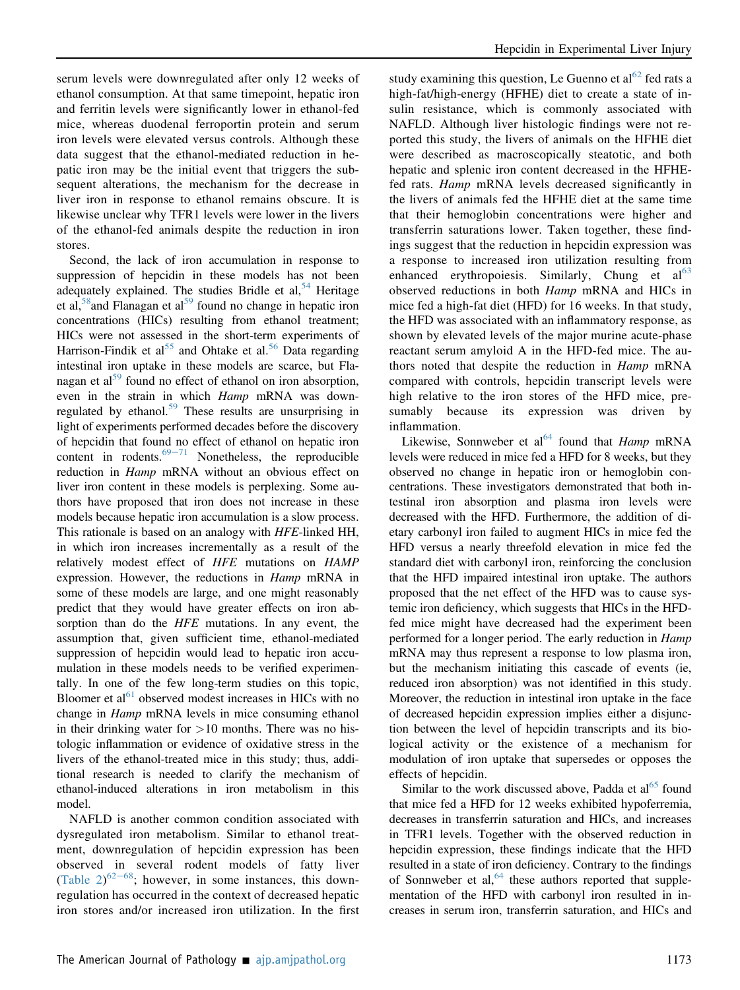serum levels were downregulated after only 12 weeks of ethanol consumption. At that same timepoint, hepatic iron and ferritin levels were significantly lower in ethanol-fed mice, whereas duodenal ferroportin protein and serum iron levels were elevated versus controls. Although these data suggest that the ethanol-mediated reduction in hepatic iron may be the initial event that triggers the subsequent alterations, the mechanism for the decrease in liver iron in response to ethanol remains obscure. It is likewise unclear why TFR1 levels were lower in the livers of the ethanol-fed animals despite the reduction in iron stores.

Second, the lack of iron accumulation in response to suppression of hepcidin in these models has not been adequately explained. The studies Bridle et al,  $54$  Heritage et al,  $\frac{58}{3}$  and Flanagan et al,  $\frac{1}{2}$  found no change in hepatic iron concentrations (HICs) resulting from ethanol treatment; HICs were not assessed in the short-term experiments of Harrison-Findik et al<sup>55</sup> and Ohtake et al.<sup>[56](#page-13-11)</sup> Data regarding intestinal iron uptake in these models are scarce, but Fla-nagan et al<sup>[59](#page-13-14)</sup> found no effect of ethanol on iron absorption, even in the strain in which Hamp mRNA was down-regulated by ethanol.<sup>[59](#page-13-14)</sup> These results are unsurprising in light of experiments performed decades before the discovery of hepcidin that found no effect of ethanol on hepatic iron content in rodents. $69-71$  $69-71$  $69-71$  Nonetheless, the reproducible reduction in *Hamp* mRNA without an obvious effect on liver iron content in these models is perplexing. Some authors have proposed that iron does not increase in these models because hepatic iron accumulation is a slow process. This rationale is based on an analogy with HFE-linked HH, in which iron increases incrementally as a result of the relatively modest effect of HFE mutations on HAMP expression. However, the reductions in Hamp mRNA in some of these models are large, and one might reasonably predict that they would have greater effects on iron absorption than do the *HFE* mutations. In any event, the assumption that, given sufficient time, ethanol-mediated suppression of hepcidin would lead to hepatic iron accumulation in these models needs to be verified experimentally. In one of the few long-term studies on this topic, Bloomer et  $al<sup>61</sup>$  $al<sup>61</sup>$  $al<sup>61</sup>$  observed modest increases in HICs with no change in *Hamp* mRNA levels in mice consuming ethanol in their drinking water for  $>10$  months. There was no histologic inflammation or evidence of oxidative stress in the livers of the ethanol-treated mice in this study; thus, additional research is needed to clarify the mechanism of ethanol-induced alterations in iron metabolism in this model.

NAFLD is another common condition associated with dysregulated iron metabolism. Similar to ethanol treatment, downregulation of hepcidin expression has been observed in several rodent models of fatty liver (Table  $2)^{62-68}$  $2)^{62-68}$  $2)^{62-68}$ ; however, in some instances, this downregulation has occurred in the context of decreased hepatic iron stores and/or increased iron utilization. In the first

study examining this question, Le Guenno et  $al^{62}$  $al^{62}$  $al^{62}$  fed rats a high-fat/high-energy (HFHE) diet to create a state of insulin resistance, which is commonly associated with NAFLD. Although liver histologic findings were not reported this study, the livers of animals on the HFHE diet were described as macroscopically steatotic, and both hepatic and splenic iron content decreased in the HFHEfed rats. Hamp mRNA levels decreased significantly in the livers of animals fed the HFHE diet at the same time that their hemoglobin concentrations were higher and transferrin saturations lower. Taken together, these findings suggest that the reduction in hepcidin expression was a response to increased iron utilization resulting from enhanced erythropoiesis. Similarly, Chung et  $al<sup>63</sup>$  $al<sup>63</sup>$  $al<sup>63</sup>$ observed reductions in both Hamp mRNA and HICs in mice fed a high-fat diet (HFD) for 16 weeks. In that study, the HFD was associated with an inflammatory response, as shown by elevated levels of the major murine acute-phase reactant serum amyloid A in the HFD-fed mice. The authors noted that despite the reduction in *Hamp* mRNA compared with controls, hepcidin transcript levels were high relative to the iron stores of the HFD mice, presumably because its expression was driven by inflammation.

Likewise, Sonnweber et al<sup>[64](#page-13-19)</sup> found that *Hamp* mRNA levels were reduced in mice fed a HFD for 8 weeks, but they observed no change in hepatic iron or hemoglobin concentrations. These investigators demonstrated that both intestinal iron absorption and plasma iron levels were decreased with the HFD. Furthermore, the addition of dietary carbonyl iron failed to augment HICs in mice fed the HFD versus a nearly threefold elevation in mice fed the standard diet with carbonyl iron, reinforcing the conclusion that the HFD impaired intestinal iron uptake. The authors proposed that the net effect of the HFD was to cause systemic iron deficiency, which suggests that HICs in the HFDfed mice might have decreased had the experiment been performed for a longer period. The early reduction in *Hamp* mRNA may thus represent a response to low plasma iron, but the mechanism initiating this cascade of events (ie, reduced iron absorption) was not identified in this study. Moreover, the reduction in intestinal iron uptake in the face of decreased hepcidin expression implies either a disjunction between the level of hepcidin transcripts and its biological activity or the existence of a mechanism for modulation of iron uptake that supersedes or opposes the effects of hepcidin.

Similar to the work discussed above, Padda et  $al<sup>65</sup>$  $al<sup>65</sup>$  $al<sup>65</sup>$  found that mice fed a HFD for 12 weeks exhibited hypoferremia, decreases in transferrin saturation and HICs, and increases in TFR1 levels. Together with the observed reduction in hepcidin expression, these findings indicate that the HFD resulted in a state of iron deficiency. Contrary to the findings of Sonnweber et al,  $64$  these authors reported that supplementation of the HFD with carbonyl iron resulted in increases in serum iron, transferrin saturation, and HICs and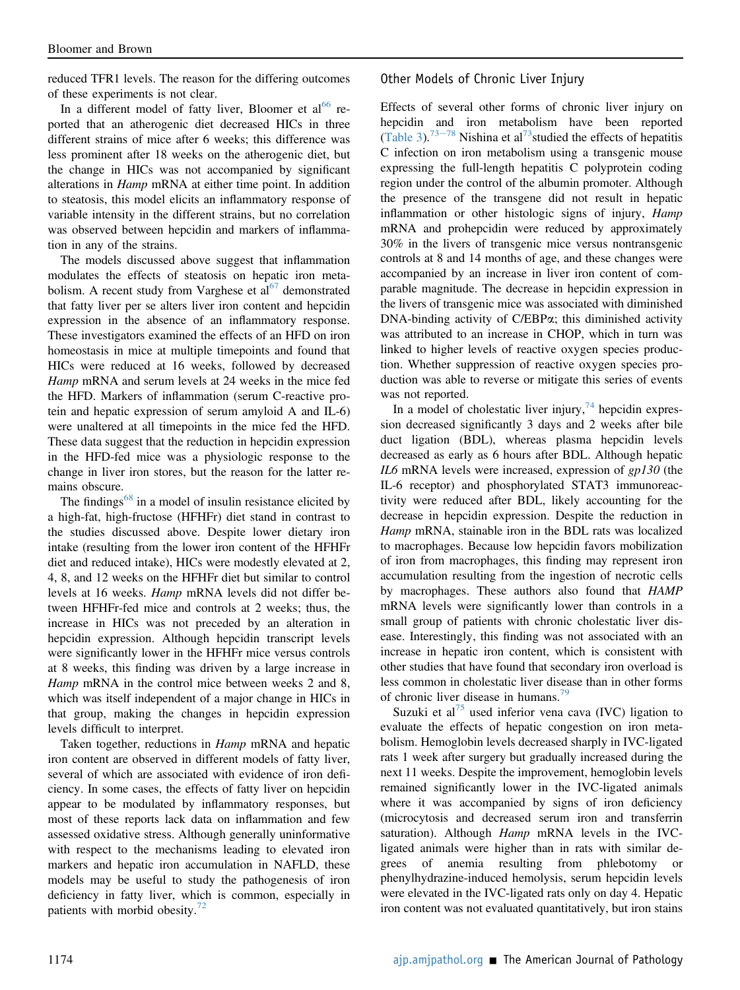reduced TFR1 levels. The reason for the differing outcomes of these experiments is not clear.

In a different model of fatty liver, Bloomer et  $al^{66}$  $al^{66}$  $al^{66}$  reported that an atherogenic diet decreased HICs in three different strains of mice after 6 weeks; this difference was less prominent after 18 weeks on the atherogenic diet, but the change in HICs was not accompanied by significant alterations in Hamp mRNA at either time point. In addition to steatosis, this model elicits an inflammatory response of variable intensity in the different strains, but no correlation was observed between hepcidin and markers of inflammation in any of the strains.

The models discussed above suggest that inflammation modulates the effects of steatosis on hepatic iron metabolism. A recent study from Varghese et  $al<sup>67</sup>$  demonstrated that fatty liver per se alters liver iron content and hepcidin expression in the absence of an inflammatory response. These investigators examined the effects of an HFD on iron homeostasis in mice at multiple timepoints and found that HICs were reduced at 16 weeks, followed by decreased Hamp mRNA and serum levels at 24 weeks in the mice fed the HFD. Markers of inflammation (serum C-reactive protein and hepatic expression of serum amyloid A and IL-6) were unaltered at all timepoints in the mice fed the HFD. These data suggest that the reduction in hepcidin expression in the HFD-fed mice was a physiologic response to the change in liver iron stores, but the reason for the latter remains obscure.

The findings $68$  in a model of insulin resistance elicited by a high-fat, high-fructose (HFHFr) diet stand in contrast to the studies discussed above. Despite lower dietary iron intake (resulting from the lower iron content of the HFHFr diet and reduced intake), HICs were modestly elevated at 2, 4, 8, and 12 weeks on the HFHFr diet but similar to control levels at 16 weeks. Hamp mRNA levels did not differ between HFHFr-fed mice and controls at 2 weeks; thus, the increase in HICs was not preceded by an alteration in hepcidin expression. Although hepcidin transcript levels were significantly lower in the HFHFr mice versus controls at 8 weeks, this finding was driven by a large increase in Hamp mRNA in the control mice between weeks 2 and 8, which was itself independent of a major change in HICs in that group, making the changes in hepcidin expression levels difficult to interpret.

Taken together, reductions in Hamp mRNA and hepatic iron content are observed in different models of fatty liver, several of which are associated with evidence of iron deficiency. In some cases, the effects of fatty liver on hepcidin appear to be modulated by inflammatory responses, but most of these reports lack data on inflammation and few assessed oxidative stress. Although generally uninformative with respect to the mechanisms leading to elevated iron markers and hepatic iron accumulation in NAFLD, these models may be useful to study the pathogenesis of iron deficiency in fatty liver, which is common, especially in patients with morbid obesity. $\frac{72}{2}$  $\frac{72}{2}$  $\frac{72}{2}$ 

Other Models of Chronic Liver Injury

Effects of several other forms of chronic liver injury on hepcidin and iron metabolism have been reported [\(Table 3](#page-7-0)).<sup>[73](#page-13-24)–[78](#page-13-24)</sup> Nishina et al<sup>73</sup>studied the effects of hepatitis C infection on iron metabolism using a transgenic mouse expressing the full-length hepatitis C polyprotein coding region under the control of the albumin promoter. Although the presence of the transgene did not result in hepatic inflammation or other histologic signs of injury, Hamp mRNA and prohepcidin were reduced by approximately 30% in the livers of transgenic mice versus nontransgenic controls at 8 and 14 months of age, and these changes were accompanied by an increase in liver iron content of comparable magnitude. The decrease in hepcidin expression in the livers of transgenic mice was associated with diminished DNA-binding activity of C/EBPa; this diminished activity was attributed to an increase in CHOP, which in turn was linked to higher levels of reactive oxygen species production. Whether suppression of reactive oxygen species production was able to reverse or mitigate this series of events was not reported.

In a model of cholestatic liver injury,  $74$  hepcidin expression decreased significantly 3 days and 2 weeks after bile duct ligation (BDL), whereas plasma hepcidin levels decreased as early as 6 hours after BDL. Although hepatic IL6 mRNA levels were increased, expression of gp130 (the IL-6 receptor) and phosphorylated STAT3 immunoreactivity were reduced after BDL, likely accounting for the decrease in hepcidin expression. Despite the reduction in Hamp mRNA, stainable iron in the BDL rats was localized to macrophages. Because low hepcidin favors mobilization of iron from macrophages, this finding may represent iron accumulation resulting from the ingestion of necrotic cells by macrophages. These authors also found that HAMP mRNA levels were significantly lower than controls in a small group of patients with chronic cholestatic liver disease. Interestingly, this finding was not associated with an increase in hepatic iron content, which is consistent with other studies that have found that secondary iron overload is less common in cholestatic liver disease than in other forms of chronic liver disease in humans.<sup>[79](#page-13-32)</sup>

Suzuki et al<sup>[75](#page-13-26)</sup> used inferior vena cava (IVC) ligation to evaluate the effects of hepatic congestion on iron metabolism. Hemoglobin levels decreased sharply in IVC-ligated rats 1 week after surgery but gradually increased during the next 11 weeks. Despite the improvement, hemoglobin levels remained significantly lower in the IVC-ligated animals where it was accompanied by signs of iron deficiency (microcytosis and decreased serum iron and transferrin saturation). Although Hamp mRNA levels in the IVCligated animals were higher than in rats with similar degrees of anemia resulting from phlebotomy or phenylhydrazine-induced hemolysis, serum hepcidin levels were elevated in the IVC-ligated rats only on day 4. Hepatic iron content was not evaluated quantitatively, but iron stains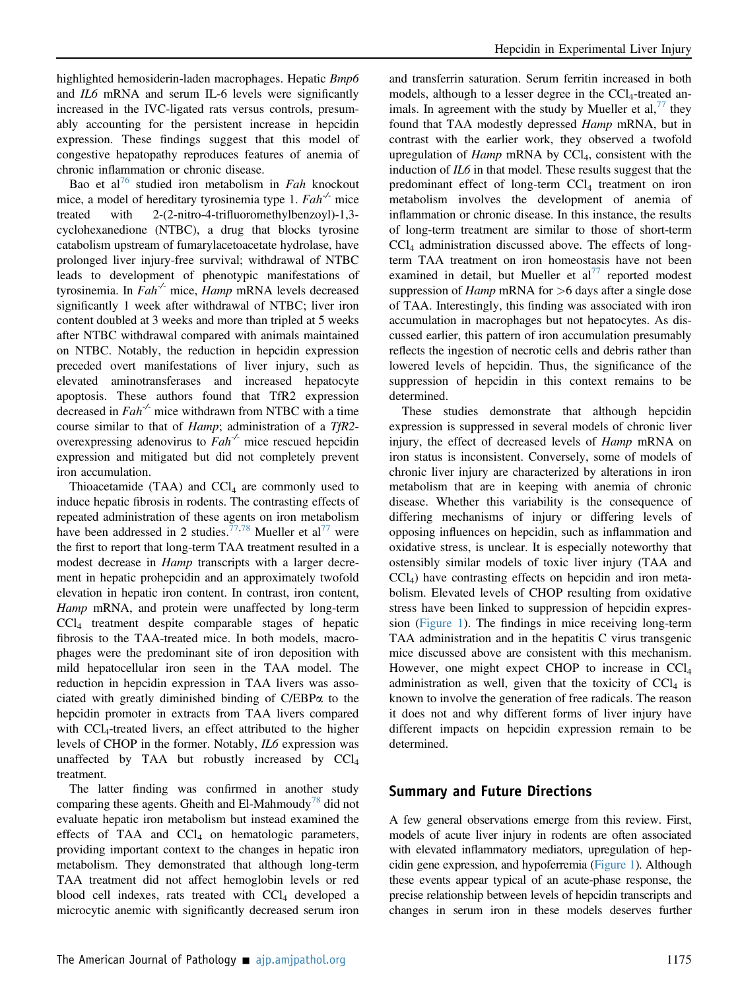highlighted hemosiderin-laden macrophages. Hepatic *Bmp6* and IL6 mRNA and serum IL-6 levels were significantly increased in the IVC-ligated rats versus controls, presumably accounting for the persistent increase in hepcidin expression. These findings suggest that this model of congestive hepatopathy reproduces features of anemia of chronic inflammation or chronic disease.

Bao et al<sup>[76](#page-13-27)</sup> studied iron metabolism in Fah knockout mice, a model of hereditary tyrosinemia type 1.  $Fah^{-1}$  mice treated with 2-(2-nitro-4-trifluoromethylbenzoyl)-1,3 cyclohexanedione (NTBC), a drug that blocks tyrosine catabolism upstream of fumarylacetoacetate hydrolase, have prolonged liver injury-free survival; withdrawal of NTBC leads to development of phenotypic manifestations of tyrosinemia. In  $Fah^{-1}$  mice, Hamp mRNA levels decreased significantly 1 week after withdrawal of NTBC; liver iron content doubled at 3 weeks and more than tripled at 5 weeks after NTBC withdrawal compared with animals maintained on NTBC. Notably, the reduction in hepcidin expression preceded overt manifestations of liver injury, such as elevated aminotransferases and increased hepatocyte apoptosis. These authors found that TfR2 expression decreased in  $Fah^{-1}$  mice withdrawn from NTBC with a time course similar to that of *Hamp*; administration of a TfR2overexpressing adenovirus to  $Fah^{-1}$  mice rescued hepcidin expression and mitigated but did not completely prevent iron accumulation.

Thioacetamide (TAA) and  $CCl<sub>4</sub>$  are commonly used to induce hepatic fibrosis in rodents. The contrasting effects of repeated administration of these agents on iron metabolism have been addressed in 2 studies.<sup>[77,](#page-13-28)[78](#page-13-29)</sup> Mueller et al<sup>[77](#page-13-28)</sup> were the first to report that long-term TAA treatment resulted in a modest decrease in *Hamp* transcripts with a larger decrement in hepatic prohepcidin and an approximately twofold elevation in hepatic iron content. In contrast, iron content, Hamp mRNA, and protein were unaffected by long-term  $CCl<sub>4</sub>$  treatment despite comparable stages of hepatic fibrosis to the TAA-treated mice. In both models, macrophages were the predominant site of iron deposition with mild hepatocellular iron seen in the TAA model. The reduction in hepcidin expression in TAA livers was associated with greatly diminished binding of C/EBPa to the hepcidin promoter in extracts from TAA livers compared with CCl<sub>4</sub>-treated livers, an effect attributed to the higher levels of CHOP in the former. Notably, IL6 expression was unaffected by TAA but robustly increased by  $CCl<sub>4</sub>$ treatment.

The latter finding was confirmed in another study comparing these agents. Gheith and El-Mahmoudy<sup> $/8$ </sup> did not evaluate hepatic iron metabolism but instead examined the effects of TAA and  $CCl<sub>4</sub>$  on hematologic parameters, providing important context to the changes in hepatic iron metabolism. They demonstrated that although long-term TAA treatment did not affect hemoglobin levels or red blood cell indexes, rats treated with  $CCl<sub>4</sub>$  developed a microcytic anemic with significantly decreased serum iron

and transferrin saturation. Serum ferritin increased in both models, although to a lesser degree in the CCl<sub>4</sub>-treated animals. In agreement with the study by Mueller et al,  $\frac{7}{7}$  they found that TAA modestly depressed Hamp mRNA, but in contrast with the earlier work, they observed a twofold upregulation of *Hamp* mRNA by  $CCl_4$ , consistent with the induction of IL6 in that model. These results suggest that the predominant effect of long-term  $CCl<sub>4</sub>$  treatment on iron metabolism involves the development of anemia of inflammation or chronic disease. In this instance, the results of long-term treatment are similar to those of short-term CCl4 administration discussed above. The effects of longterm TAA treatment on iron homeostasis have not been examined in detail, but Mueller et  $al^{77}$  $al^{77}$  $al^{77}$  reported modest suppression of *Hamp* mRNA for  $>6$  days after a single dose of TAA. Interestingly, this finding was associated with iron accumulation in macrophages but not hepatocytes. As discussed earlier, this pattern of iron accumulation presumably reflects the ingestion of necrotic cells and debris rather than lowered levels of hepcidin. Thus, the significance of the suppression of hepcidin in this context remains to be determined.

These studies demonstrate that although hepcidin expression is suppressed in several models of chronic liver injury, the effect of decreased levels of Hamp mRNA on iron status is inconsistent. Conversely, some of models of chronic liver injury are characterized by alterations in iron metabolism that are in keeping with anemia of chronic disease. Whether this variability is the consequence of differing mechanisms of injury or differing levels of opposing influences on hepcidin, such as inflammation and oxidative stress, is unclear. It is especially noteworthy that ostensibly similar models of toxic liver injury (TAA and CCl4) have contrasting effects on hepcidin and iron metabolism. Elevated levels of CHOP resulting from oxidative stress have been linked to suppression of hepcidin expression ([Figure 1\)](#page-4-0). The findings in mice receiving long-term TAA administration and in the hepatitis C virus transgenic mice discussed above are consistent with this mechanism. However, one might expect CHOP to increase in  $\text{Cl}_4$ administration as well, given that the toxicity of  $CCl<sub>4</sub>$  is known to involve the generation of free radicals. The reason it does not and why different forms of liver injury have different impacts on hepcidin expression remain to be determined.

#### Summary and Future Directions

A few general observations emerge from this review. First, models of acute liver injury in rodents are often associated with elevated inflammatory mediators, upregulation of hepcidin gene expression, and hypoferremia [\(Figure 1](#page-4-0)). Although these events appear typical of an acute-phase response, the precise relationship between levels of hepcidin transcripts and changes in serum iron in these models deserves further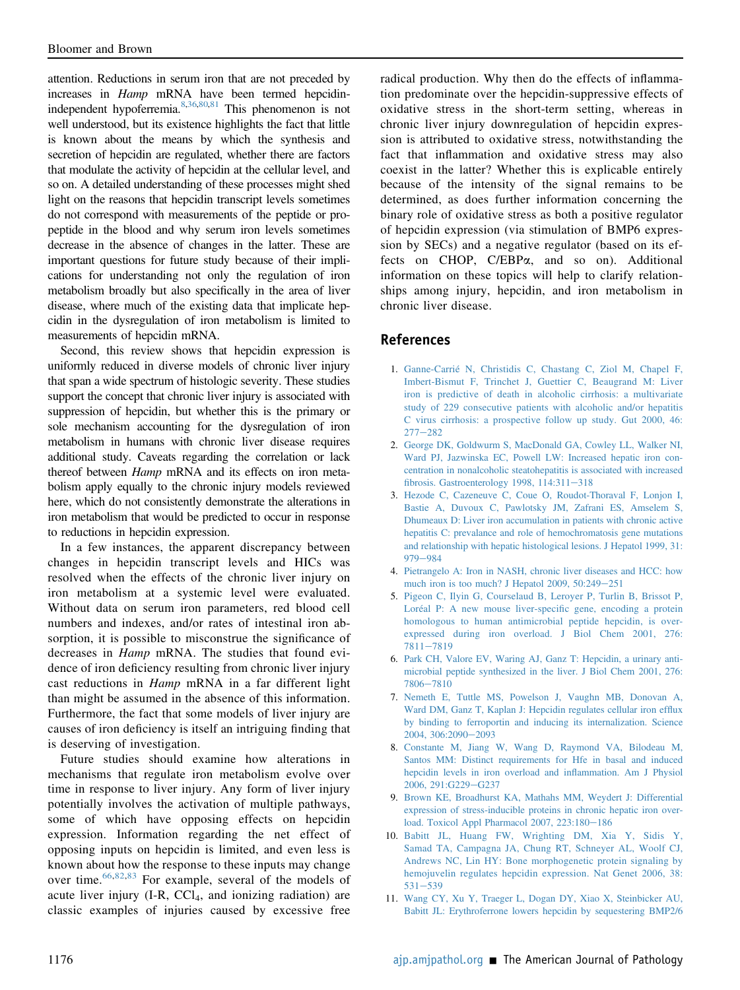attention. Reductions in serum iron that are not preceded by increases in Hamp mRNA have been termed hepcidinindependent hypoferremia[.8](#page-11-4)[,36](#page-12-25)[,80](#page-14-0)[,81](#page-14-1) This phenomenon is not well understood, but its existence highlights the fact that little is known about the means by which the synthesis and secretion of hepcidin are regulated, whether there are factors that modulate the activity of hepcidin at the cellular level, and so on. A detailed understanding of these processes might shed light on the reasons that hepcidin transcript levels sometimes do not correspond with measurements of the peptide or propeptide in the blood and why serum iron levels sometimes decrease in the absence of changes in the latter. These are important questions for future study because of their implications for understanding not only the regulation of iron metabolism broadly but also specifically in the area of liver disease, where much of the existing data that implicate hepcidin in the dysregulation of iron metabolism is limited to measurements of hepcidin mRNA.

Second, this review shows that hepcidin expression is uniformly reduced in diverse models of chronic liver injury that span a wide spectrum of histologic severity. These studies support the concept that chronic liver injury is associated with suppression of hepcidin, but whether this is the primary or sole mechanism accounting for the dysregulation of iron metabolism in humans with chronic liver disease requires additional study. Caveats regarding the correlation or lack thereof between Hamp mRNA and its effects on iron metabolism apply equally to the chronic injury models reviewed here, which do not consistently demonstrate the alterations in iron metabolism that would be predicted to occur in response to reductions in hepcidin expression.

In a few instances, the apparent discrepancy between changes in hepcidin transcript levels and HICs was resolved when the effects of the chronic liver injury on iron metabolism at a systemic level were evaluated. Without data on serum iron parameters, red blood cell numbers and indexes, and/or rates of intestinal iron absorption, it is possible to misconstrue the significance of decreases in Hamp mRNA. The studies that found evidence of iron deficiency resulting from chronic liver injury cast reductions in Hamp mRNA in a far different light than might be assumed in the absence of this information. Furthermore, the fact that some models of liver injury are causes of iron deficiency is itself an intriguing finding that is deserving of investigation.

Future studies should examine how alterations in mechanisms that regulate iron metabolism evolve over time in response to liver injury. Any form of liver injury potentially involves the activation of multiple pathways, some of which have opposing effects on hepcidin expression. Information regarding the net effect of opposing inputs on hepcidin is limited, and even less is known about how the response to these inputs may change over time.[66,](#page-13-21)[82,](#page-14-2)[83](#page-14-3) For example, several of the models of acute liver injury  $(I-R, CCl<sub>4</sub>, and ionizing radiation)$  are classic examples of injuries caused by excessive free

radical production. Why then do the effects of inflammation predominate over the hepcidin-suppressive effects of oxidative stress in the short-term setting, whereas in chronic liver injury downregulation of hepcidin expression is attributed to oxidative stress, notwithstanding the fact that inflammation and oxidative stress may also coexist in the latter? Whether this is explicable entirely because of the intensity of the signal remains to be determined, as does further information concerning the binary role of oxidative stress as both a positive regulator of hepcidin expression (via stimulation of BMP6 expression by SECs) and a negative regulator (based on its effects on CHOP, C/EBPa, and so on). Additional information on these topics will help to clarify relationships among injury, hepcidin, and iron metabolism in chronic liver disease.

#### References

- <span id="page-11-0"></span>1. [Ganne-Carrié N, Christidis C, Chastang C, Ziol M, Chapel F,](http://refhub.elsevier.com/S0002-9440(21)00156-5/sref1) [Imbert-Bismut F, Trinchet J, Guettier C, Beaugrand M: Liver](http://refhub.elsevier.com/S0002-9440(21)00156-5/sref1) [iron is predictive of death in alcoholic cirrhosis: a multivariate](http://refhub.elsevier.com/S0002-9440(21)00156-5/sref1) [study of 229 consecutive patients with alcoholic and/or hepatitis](http://refhub.elsevier.com/S0002-9440(21)00156-5/sref1) [C virus cirrhosis: a prospective follow up study. Gut 2000, 46:](http://refhub.elsevier.com/S0002-9440(21)00156-5/sref1)  $277 - 282$  $277 - 282$  $277 - 282$
- 2. [George DK, Goldwurm S, MacDonald GA, Cowley LL, Walker NI,](http://refhub.elsevier.com/S0002-9440(21)00156-5/sref2) [Ward PJ, Jazwinska EC, Powell LW: Increased hepatic iron con](http://refhub.elsevier.com/S0002-9440(21)00156-5/sref2)[centration in nonalcoholic steatohepatitis is associated with increased](http://refhub.elsevier.com/S0002-9440(21)00156-5/sref2) fibrosis. Gastroenterology 1998,  $114:311-318$  $114:311-318$
- 3. [Hezode C, Cazeneuve C, Coue O, Roudot-Thoraval F, Lonjon I,](http://refhub.elsevier.com/S0002-9440(21)00156-5/sref3) [Bastie A, Duvoux C, Pawlotsky JM, Zafrani ES, Amselem S,](http://refhub.elsevier.com/S0002-9440(21)00156-5/sref3) [Dhumeaux D: Liver iron accumulation in patients with chronic active](http://refhub.elsevier.com/S0002-9440(21)00156-5/sref3) [hepatitis C: prevalance and role of hemochromatosis gene mutations](http://refhub.elsevier.com/S0002-9440(21)00156-5/sref3) [and relationship with hepatic histological lesions. J Hepatol 1999, 31:](http://refhub.elsevier.com/S0002-9440(21)00156-5/sref3) [979](http://refhub.elsevier.com/S0002-9440(21)00156-5/sref3)-[984](http://refhub.elsevier.com/S0002-9440(21)00156-5/sref3)
- 4. [Pietrangelo A: Iron in NASH, chronic liver diseases and HCC: how](http://refhub.elsevier.com/S0002-9440(21)00156-5/sref4) [much iron is too much? J Hepatol 2009, 50:249](http://refhub.elsevier.com/S0002-9440(21)00156-5/sref4)-[251](http://refhub.elsevier.com/S0002-9440(21)00156-5/sref4)
- <span id="page-11-1"></span>5. [Pigeon C, Ilyin G, Courselaud B, Leroyer P, Turlin B, Brissot P,](http://refhub.elsevier.com/S0002-9440(21)00156-5/sref5) [Loréal P: A new mouse liver-speci](http://refhub.elsevier.com/S0002-9440(21)00156-5/sref5)fic gene, encoding a protein [homologous to human antimicrobial peptide hepcidin, is over](http://refhub.elsevier.com/S0002-9440(21)00156-5/sref5)[expressed during iron overload. J Biol Chem 2001, 276:](http://refhub.elsevier.com/S0002-9440(21)00156-5/sref5) [7811](http://refhub.elsevier.com/S0002-9440(21)00156-5/sref5)-[7819](http://refhub.elsevier.com/S0002-9440(21)00156-5/sref5)
- <span id="page-11-2"></span>6. [Park CH, Valore EV, Waring AJ, Ganz T: Hepcidin, a urinary anti](http://refhub.elsevier.com/S0002-9440(21)00156-5/sref6)[microbial peptide synthesized in the liver. J Biol Chem 2001, 276:](http://refhub.elsevier.com/S0002-9440(21)00156-5/sref6) [7806](http://refhub.elsevier.com/S0002-9440(21)00156-5/sref6)-[7810](http://refhub.elsevier.com/S0002-9440(21)00156-5/sref6)
- <span id="page-11-3"></span>7. [Nemeth E, Tuttle MS, Powelson J, Vaughn MB, Donovan A,](http://refhub.elsevier.com/S0002-9440(21)00156-5/sref7) [Ward DM, Ganz T, Kaplan J: Hepcidin regulates cellular iron ef](http://refhub.elsevier.com/S0002-9440(21)00156-5/sref7)flux [by binding to ferroportin and inducing its internalization. Science](http://refhub.elsevier.com/S0002-9440(21)00156-5/sref7) [2004, 306:2090](http://refhub.elsevier.com/S0002-9440(21)00156-5/sref7)-[2093](http://refhub.elsevier.com/S0002-9440(21)00156-5/sref7)
- <span id="page-11-4"></span>8. [Constante M, Jiang W, Wang D, Raymond VA, Bilodeau M,](http://refhub.elsevier.com/S0002-9440(21)00156-5/sref8) [Santos MM: Distinct requirements for Hfe in basal and induced](http://refhub.elsevier.com/S0002-9440(21)00156-5/sref8) [hepcidin levels in iron overload and in](http://refhub.elsevier.com/S0002-9440(21)00156-5/sref8)flammation. Am J Physiol [2006, 291:G229](http://refhub.elsevier.com/S0002-9440(21)00156-5/sref8)-[G237](http://refhub.elsevier.com/S0002-9440(21)00156-5/sref8)
- <span id="page-11-5"></span>9. [Brown KE, Broadhurst KA, Mathahs MM, Weydert J: Differential](http://refhub.elsevier.com/S0002-9440(21)00156-5/sref9) [expression of stress-inducible proteins in chronic hepatic iron over](http://refhub.elsevier.com/S0002-9440(21)00156-5/sref9)[load. Toxicol Appl Pharmacol 2007, 223:180](http://refhub.elsevier.com/S0002-9440(21)00156-5/sref9)-[186](http://refhub.elsevier.com/S0002-9440(21)00156-5/sref9)
- <span id="page-11-6"></span>10. [Babitt JL, Huang FW, Wrighting DM, Xia Y, Sidis Y,](http://refhub.elsevier.com/S0002-9440(21)00156-5/sref10) [Samad TA, Campagna JA, Chung RT, Schneyer AL, Woolf CJ,](http://refhub.elsevier.com/S0002-9440(21)00156-5/sref10) [Andrews NC, Lin HY: Bone morphogenetic protein signaling by](http://refhub.elsevier.com/S0002-9440(21)00156-5/sref10) [hemojuvelin regulates hepcidin expression. Nat Genet 2006, 38:](http://refhub.elsevier.com/S0002-9440(21)00156-5/sref10)  $531 - 539$  $531 - 539$  $531 - 539$
- <span id="page-11-7"></span>11. [Wang CY, Xu Y, Traeger L, Dogan DY, Xiao X, Steinbicker AU,](http://refhub.elsevier.com/S0002-9440(21)00156-5/sref11) [Babitt JL: Erythroferrone lowers hepcidin by sequestering BMP2/6](http://refhub.elsevier.com/S0002-9440(21)00156-5/sref11)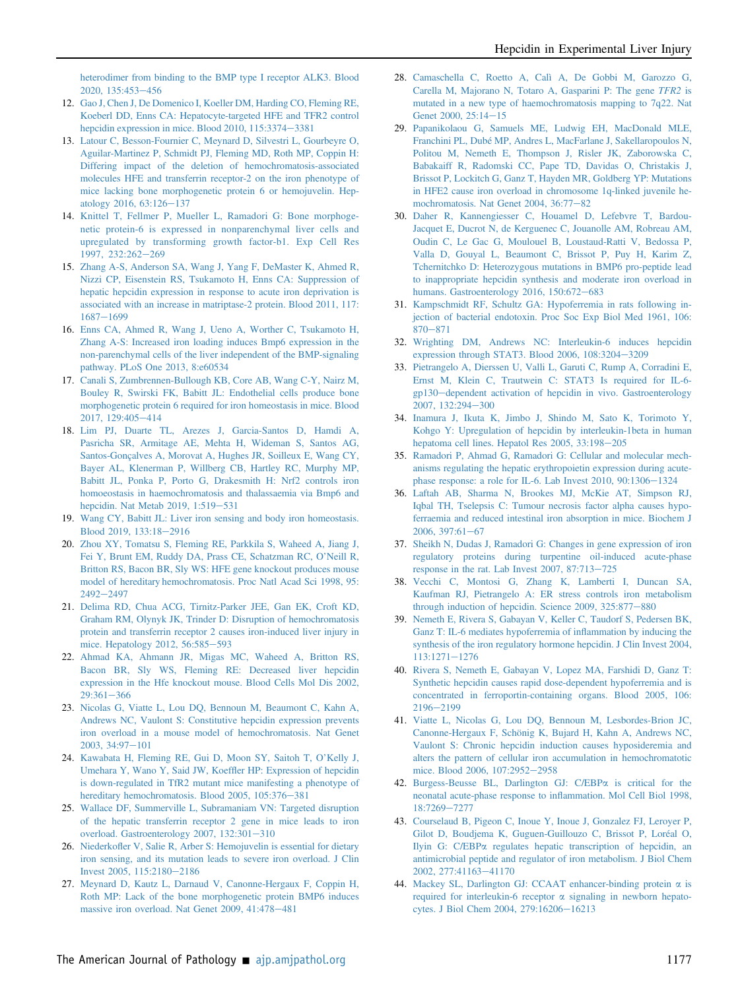[heterodimer from binding to the BMP type I receptor ALK3. Blood](http://refhub.elsevier.com/S0002-9440(21)00156-5/sref11) [2020, 135:453](http://refhub.elsevier.com/S0002-9440(21)00156-5/sref11)-[456](http://refhub.elsevier.com/S0002-9440(21)00156-5/sref11)

- <span id="page-12-0"></span>12. [Gao J, Chen J, De Domenico I, Koeller DM, Harding CO, Fleming RE,](http://refhub.elsevier.com/S0002-9440(21)00156-5/sref12) [Koeberl DD, Enns CA: Hepatocyte-targeted HFE and TFR2 control](http://refhub.elsevier.com/S0002-9440(21)00156-5/sref12) [hepcidin expression in mice. Blood 2010, 115:3374](http://refhub.elsevier.com/S0002-9440(21)00156-5/sref12)-[3381](http://refhub.elsevier.com/S0002-9440(21)00156-5/sref12)
- <span id="page-12-1"></span>13. [Latour C, Besson-Fournier C, Meynard D, Silvestri L, Gourbeyre O,](http://refhub.elsevier.com/S0002-9440(21)00156-5/sref13) [Aguilar-Martinez P, Schmidt PJ, Fleming MD, Roth MP, Coppin H:](http://refhub.elsevier.com/S0002-9440(21)00156-5/sref13) [Differing impact of the deletion of hemochromatosis-associated](http://refhub.elsevier.com/S0002-9440(21)00156-5/sref13) [molecules HFE and transferrin receptor-2 on the iron phenotype of](http://refhub.elsevier.com/S0002-9440(21)00156-5/sref13) [mice lacking bone morphogenetic protein 6 or hemojuvelin. Hep](http://refhub.elsevier.com/S0002-9440(21)00156-5/sref13)[atology 2016, 63:126](http://refhub.elsevier.com/S0002-9440(21)00156-5/sref13)-[137](http://refhub.elsevier.com/S0002-9440(21)00156-5/sref13)
- <span id="page-12-2"></span>14. [Knittel T, Fellmer P, Mueller L, Ramadori G: Bone morphoge](http://refhub.elsevier.com/S0002-9440(21)00156-5/sref14)[netic protein-6 is expressed in nonparenchymal liver cells and](http://refhub.elsevier.com/S0002-9440(21)00156-5/sref14) [upregulated by transforming growth factor-b1. Exp Cell Res](http://refhub.elsevier.com/S0002-9440(21)00156-5/sref14) [1997, 232:262](http://refhub.elsevier.com/S0002-9440(21)00156-5/sref14)-[269](http://refhub.elsevier.com/S0002-9440(21)00156-5/sref14)
- 15. [Zhang A-S, Anderson SA, Wang J, Yang F, DeMaster K, Ahmed R,](http://refhub.elsevier.com/S0002-9440(21)00156-5/sref15) [Nizzi CP, Eisenstein RS, Tsukamoto H, Enns CA: Suppression of](http://refhub.elsevier.com/S0002-9440(21)00156-5/sref15) [hepatic hepcidin expression in response to acute iron deprivation is](http://refhub.elsevier.com/S0002-9440(21)00156-5/sref15) [associated with an increase in matriptase-2 protein. Blood 2011, 117:](http://refhub.elsevier.com/S0002-9440(21)00156-5/sref15) [1687](http://refhub.elsevier.com/S0002-9440(21)00156-5/sref15)-[1699](http://refhub.elsevier.com/S0002-9440(21)00156-5/sref15)
- 16. [Enns CA, Ahmed R, Wang J, Ueno A, Worther C, Tsukamoto H,](http://refhub.elsevier.com/S0002-9440(21)00156-5/sref16) [Zhang A-S: Increased iron loading induces Bmp6 expression in the](http://refhub.elsevier.com/S0002-9440(21)00156-5/sref16) [non-parenchymal cells of the liver independent of the BMP-signaling](http://refhub.elsevier.com/S0002-9440(21)00156-5/sref16) [pathway. PLoS One 2013, 8:e60534](http://refhub.elsevier.com/S0002-9440(21)00156-5/sref16)
- 17. [Canali S, Zumbrennen-Bullough KB, Core AB, Wang C-Y, Nairz M,](http://refhub.elsevier.com/S0002-9440(21)00156-5/sref17) [Bouley R, Swirski FK, Babitt JL: Endothelial cells produce bone](http://refhub.elsevier.com/S0002-9440(21)00156-5/sref17) [morphogenetic protein 6 required for iron homeostasis in mice. Blood](http://refhub.elsevier.com/S0002-9440(21)00156-5/sref17) [2017, 129:405](http://refhub.elsevier.com/S0002-9440(21)00156-5/sref17)-[414](http://refhub.elsevier.com/S0002-9440(21)00156-5/sref17)
- <span id="page-12-3"></span>18. [Lim PJ, Duarte TL, Arezes J, Garcia-Santos D, Hamdi A,](http://refhub.elsevier.com/S0002-9440(21)00156-5/sref18) [Pasricha SR, Armitage AE, Mehta H, Wideman S, Santos AG,](http://refhub.elsevier.com/S0002-9440(21)00156-5/sref18) [Santos-Gonçalves A, Morovat A, Hughes JR, Soilleux E, Wang CY,](http://refhub.elsevier.com/S0002-9440(21)00156-5/sref18) [Bayer AL, Klenerman P, Willberg CB, Hartley RC, Murphy MP,](http://refhub.elsevier.com/S0002-9440(21)00156-5/sref18) [Babitt JL, Ponka P, Porto G, Drakesmith H: Nrf2 controls iron](http://refhub.elsevier.com/S0002-9440(21)00156-5/sref18) [homoeostasis in haemochromatosis and thalassaemia via Bmp6 and](http://refhub.elsevier.com/S0002-9440(21)00156-5/sref18) [hepcidin. Nat Metab 2019, 1:519](http://refhub.elsevier.com/S0002-9440(21)00156-5/sref18)-[531](http://refhub.elsevier.com/S0002-9440(21)00156-5/sref18)
- <span id="page-12-4"></span>19. [Wang CY, Babitt JL: Liver iron sensing and body iron homeostasis.](http://refhub.elsevier.com/S0002-9440(21)00156-5/sref19) [Blood 2019, 133:18](http://refhub.elsevier.com/S0002-9440(21)00156-5/sref19)-[2916](http://refhub.elsevier.com/S0002-9440(21)00156-5/sref19)
- <span id="page-12-5"></span>20. [Zhou XY, Tomatsu S, Fleming RE, Parkkila S, Waheed A, Jiang J,](http://refhub.elsevier.com/S0002-9440(21)00156-5/sref20) [Fei Y, Brunt EM, Ruddy DA, Prass CE, Schatzman RC, O](http://refhub.elsevier.com/S0002-9440(21)00156-5/sref20)'Neill R, [Britton RS, Bacon BR, Sly WS: HFE gene knockout produces mouse](http://refhub.elsevier.com/S0002-9440(21)00156-5/sref20) [model of hereditary hemochromatosis. Proc Natl Acad Sci 1998, 95:](http://refhub.elsevier.com/S0002-9440(21)00156-5/sref20)  $2492 - 2497$  $2492 - 2497$  $2492 - 2497$
- <span id="page-12-6"></span>21. [Delima RD, Chua ACG, Tirnitz-Parker JEE, Gan EK, Croft KD,](http://refhub.elsevier.com/S0002-9440(21)00156-5/sref21) [Graham RM, Olynyk JK, Trinder D: Disruption of hemochromatosis](http://refhub.elsevier.com/S0002-9440(21)00156-5/sref21) [protein and transferrin receptor 2 causes iron-induced liver injury in](http://refhub.elsevier.com/S0002-9440(21)00156-5/sref21) [mice. Hepatology 2012, 56:585](http://refhub.elsevier.com/S0002-9440(21)00156-5/sref21)-[593](http://refhub.elsevier.com/S0002-9440(21)00156-5/sref21)
- <span id="page-12-7"></span>22. [Ahmad KA, Ahmann JR, Migas MC, Waheed A, Britton RS,](http://refhub.elsevier.com/S0002-9440(21)00156-5/sref22) [Bacon BR, Sly WS, Fleming RE: Decreased liver hepcidin](http://refhub.elsevier.com/S0002-9440(21)00156-5/sref22) [expression in the Hfe knockout mouse. Blood Cells Mol Dis 2002,](http://refhub.elsevier.com/S0002-9440(21)00156-5/sref22)  $29:361 - 366$  $29:361 - 366$  $29:361 - 366$
- <span id="page-12-8"></span>23. [Nicolas G, Viatte L, Lou DQ, Bennoun M, Beaumont C, Kahn A,](http://refhub.elsevier.com/S0002-9440(21)00156-5/sref23) [Andrews NC, Vaulont S: Constitutive hepcidin expression prevents](http://refhub.elsevier.com/S0002-9440(21)00156-5/sref23) [iron overload in a mouse model of hemochromatosis. Nat Genet](http://refhub.elsevier.com/S0002-9440(21)00156-5/sref23)  $2003, 34:97-101$  $2003, 34:97-101$  $2003, 34:97-101$
- <span id="page-12-9"></span>24. [Kawabata H, Fleming RE, Gui D, Moon SY, Saitoh T, O](http://refhub.elsevier.com/S0002-9440(21)00156-5/sref24)'Kelly J, [Umehara Y, Wano Y, Said JW, Koef](http://refhub.elsevier.com/S0002-9440(21)00156-5/sref24)fler HP: Expression of hepcidin [is down-regulated in TfR2 mutant mice manifesting a phenotype of](http://refhub.elsevier.com/S0002-9440(21)00156-5/sref24) hereditary hemochromatosis. Blood 2005,  $105:376-381$  $105:376-381$
- <span id="page-12-10"></span>25. [Wallace DF, Summerville L, Subramaniam VN: Targeted disruption](http://refhub.elsevier.com/S0002-9440(21)00156-5/sref25) [of the hepatic transferrin receptor 2 gene in mice leads to iron](http://refhub.elsevier.com/S0002-9440(21)00156-5/sref25) [overload. Gastroenterology 2007, 132:301](http://refhub.elsevier.com/S0002-9440(21)00156-5/sref25)-[310](http://refhub.elsevier.com/S0002-9440(21)00156-5/sref25)
- <span id="page-12-11"></span>26. Niederkofl[er V, Salie R, Arber S: Hemojuvelin is essential for dietary](http://refhub.elsevier.com/S0002-9440(21)00156-5/sref26) [iron sensing, and its mutation leads to severe iron overload. J Clin](http://refhub.elsevier.com/S0002-9440(21)00156-5/sref26) [Invest 2005, 115:2180](http://refhub.elsevier.com/S0002-9440(21)00156-5/sref26)-[2186](http://refhub.elsevier.com/S0002-9440(21)00156-5/sref26)
- <span id="page-12-12"></span>27. [Meynard D, Kautz L, Darnaud V, Canonne-Hergaux F, Coppin H,](http://refhub.elsevier.com/S0002-9440(21)00156-5/sref27) [Roth MP: Lack of the bone morphogenetic protein BMP6 induces](http://refhub.elsevier.com/S0002-9440(21)00156-5/sref27) [massive iron overload. Nat Genet 2009, 41:478](http://refhub.elsevier.com/S0002-9440(21)00156-5/sref27)-[481](http://refhub.elsevier.com/S0002-9440(21)00156-5/sref27)
- <span id="page-12-13"></span>28. [Camaschella C, Roetto A, Calì A, De Gobbi M, Garozzo G,](http://refhub.elsevier.com/S0002-9440(21)00156-5/sref28) [Carella M, Majorano N, Totaro A, Gasparini P: The gene](http://refhub.elsevier.com/S0002-9440(21)00156-5/sref28) TFR2 is [mutated in a new type of haemochromatosis mapping to 7q22. Nat](http://refhub.elsevier.com/S0002-9440(21)00156-5/sref28) [Genet 2000, 25:14](http://refhub.elsevier.com/S0002-9440(21)00156-5/sref28)-[15](http://refhub.elsevier.com/S0002-9440(21)00156-5/sref28)
- 29. [Papanikolaou G, Samuels ME, Ludwig EH, MacDonald MLE,](http://refhub.elsevier.com/S0002-9440(21)00156-5/sref29) [Franchini PL, Dubé MP, Andres L, MacFarlane J, Sakellaropoulos N,](http://refhub.elsevier.com/S0002-9440(21)00156-5/sref29) [Politou M, Nemeth E, Thompson J, Risler JK, Zaborowska C,](http://refhub.elsevier.com/S0002-9440(21)00156-5/sref29) [Babakaiff R, Radomski CC, Pape TD, Davidas O, Christakis J,](http://refhub.elsevier.com/S0002-9440(21)00156-5/sref29) [Brissot P, Lockitch G, Ganz T, Hayden MR, Goldberg YP: Mutations](http://refhub.elsevier.com/S0002-9440(21)00156-5/sref29) [in HFE2 cause iron overload in chromosome 1q-linked juvenile he](http://refhub.elsevier.com/S0002-9440(21)00156-5/sref29)[mochromatosis. Nat Genet 2004, 36:77](http://refhub.elsevier.com/S0002-9440(21)00156-5/sref29)-[82](http://refhub.elsevier.com/S0002-9440(21)00156-5/sref29)
- 30. [Daher R, Kannengiesser C, Houamel D, Lefebvre T, Bardou-](http://refhub.elsevier.com/S0002-9440(21)00156-5/sref30)[Jacquet E, Ducrot N, de Kerguenec C, Jouanolle AM, Robreau AM,](http://refhub.elsevier.com/S0002-9440(21)00156-5/sref30) [Oudin C, Le Gac G, Moulouel B, Loustaud-Ratti V, Bedossa P,](http://refhub.elsevier.com/S0002-9440(21)00156-5/sref30) [Valla D, Gouyal L, Beaumont C, Brissot P, Puy H, Karim Z,](http://refhub.elsevier.com/S0002-9440(21)00156-5/sref30) [Tchernitchko D: Heterozygous mutations in BMP6 pro-peptide lead](http://refhub.elsevier.com/S0002-9440(21)00156-5/sref30) [to inappropriate hepcidin synthesis and moderate iron overload in](http://refhub.elsevier.com/S0002-9440(21)00156-5/sref30) [humans. Gastroenterology 2016, 150:672](http://refhub.elsevier.com/S0002-9440(21)00156-5/sref30)-[683](http://refhub.elsevier.com/S0002-9440(21)00156-5/sref30)
- <span id="page-12-14"></span>31. [Kampschmidt RF, Schultz GA: Hypoferremia in rats following in](http://refhub.elsevier.com/S0002-9440(21)00156-5/sref31)[jection of bacterial endotoxin. Proc Soc Exp Biol Med 1961, 106:](http://refhub.elsevier.com/S0002-9440(21)00156-5/sref31)  $870 - 871$  $870 - 871$  $870 - 871$
- <span id="page-12-15"></span>32. [Wrighting DM, Andrews NC: Interleukin-6 induces hepcidin](http://refhub.elsevier.com/S0002-9440(21)00156-5/sref32) [expression through STAT3. Blood 2006, 108:3204](http://refhub.elsevier.com/S0002-9440(21)00156-5/sref32)-[3209](http://refhub.elsevier.com/S0002-9440(21)00156-5/sref32)
- <span id="page-12-16"></span>33. [Pietrangelo A, Dierssen U, Valli L, Garuti C, Rump A, Corradini E,](http://refhub.elsevier.com/S0002-9440(21)00156-5/sref33) [Ernst M, Klein C, Trautwein C: STAT3 Is required for IL-6](http://refhub.elsevier.com/S0002-9440(21)00156-5/sref33) [gp130](http://refhub.elsevier.com/S0002-9440(21)00156-5/sref33)-[dependent activation of hepcidin in vivo. Gastroenterology](http://refhub.elsevier.com/S0002-9440(21)00156-5/sref33) [2007, 132:294](http://refhub.elsevier.com/S0002-9440(21)00156-5/sref33)-[300](http://refhub.elsevier.com/S0002-9440(21)00156-5/sref33)
- <span id="page-12-17"></span>34. [Inamura J, Ikuta K, Jimbo J, Shindo M, Sato K, Torimoto Y,](http://refhub.elsevier.com/S0002-9440(21)00156-5/sref34) [Kohgo Y: Upregulation of hepcidin by interleukin-1beta in human](http://refhub.elsevier.com/S0002-9440(21)00156-5/sref34) [hepatoma cell lines. Hepatol Res 2005, 33:198](http://refhub.elsevier.com/S0002-9440(21)00156-5/sref34)-[205](http://refhub.elsevier.com/S0002-9440(21)00156-5/sref34)
- <span id="page-12-24"></span>35. [Ramadori P, Ahmad G, Ramadori G: Cellular and molecular mech](http://refhub.elsevier.com/S0002-9440(21)00156-5/sref35)[anisms regulating the hepatic erythropoietin expression during acute](http://refhub.elsevier.com/S0002-9440(21)00156-5/sref35)[phase response: a role for IL-6. Lab Invest 2010, 90:1306](http://refhub.elsevier.com/S0002-9440(21)00156-5/sref35)-[1324](http://refhub.elsevier.com/S0002-9440(21)00156-5/sref35)
- <span id="page-12-25"></span>36. [Laftah AB, Sharma N, Brookes MJ, McKie AT, Simpson RJ,](http://refhub.elsevier.com/S0002-9440(21)00156-5/sref36) [Iqbal TH, Tselepsis C: Tumour necrosis factor alpha causes hypo](http://refhub.elsevier.com/S0002-9440(21)00156-5/sref36)[ferraemia and reduced intestinal iron absorption in mice. Biochem J](http://refhub.elsevier.com/S0002-9440(21)00156-5/sref36)  $2006, 397:61-67$  $2006, 397:61-67$  $2006, 397:61-67$
- <span id="page-12-18"></span>37. [Sheikh N, Dudas J, Ramadori G: Changes in gene expression of iron](http://refhub.elsevier.com/S0002-9440(21)00156-5/sref37) [regulatory proteins during turpentine oil-induced acute-phase](http://refhub.elsevier.com/S0002-9440(21)00156-5/sref37) response in the rat. Lab Invest 2007,  $87:713-725$  $87:713-725$
- <span id="page-12-19"></span>38. [Vecchi C, Montosi G, Zhang K, Lamberti I, Duncan SA,](http://refhub.elsevier.com/S0002-9440(21)00156-5/sref38) [Kaufman RJ, Pietrangelo A: ER stress controls iron metabolism](http://refhub.elsevier.com/S0002-9440(21)00156-5/sref38) through induction of hepcidin. Science  $2009$ ,  $325:877-880$  $325:877-880$
- <span id="page-12-20"></span>39. [Nemeth E, Rivera S, Gabayan V, Keller C, Taudorf S, Pedersen BK,](http://refhub.elsevier.com/S0002-9440(21)00156-5/sref39) [Ganz T: IL-6 mediates hypoferremia of in](http://refhub.elsevier.com/S0002-9440(21)00156-5/sref39)flammation by inducing the [synthesis of the iron regulatory hormone hepcidin. J Clin Invest 2004,](http://refhub.elsevier.com/S0002-9440(21)00156-5/sref39)  $113:1271 - 1276$  $113:1271 - 1276$  $113:1271 - 1276$
- 40. [Rivera S, Nemeth E, Gabayan V, Lopez MA, Farshidi D, Ganz T:](http://refhub.elsevier.com/S0002-9440(21)00156-5/sref40) [Synthetic hepcidin causes rapid dose-dependent hypoferremia and is](http://refhub.elsevier.com/S0002-9440(21)00156-5/sref40) [concentrated in ferroportin-containing organs. Blood 2005, 106:](http://refhub.elsevier.com/S0002-9440(21)00156-5/sref40) [2196](http://refhub.elsevier.com/S0002-9440(21)00156-5/sref40)-[2199](http://refhub.elsevier.com/S0002-9440(21)00156-5/sref40)
- 41. [Viatte L, Nicolas G, Lou DQ, Bennoun M, Lesbordes-Brion JC,](http://refhub.elsevier.com/S0002-9440(21)00156-5/sref41) [Canonne-Hergaux F, Schönig K, Bujard H, Kahn A, Andrews NC,](http://refhub.elsevier.com/S0002-9440(21)00156-5/sref41) [Vaulont S: Chronic hepcidin induction causes hyposideremia and](http://refhub.elsevier.com/S0002-9440(21)00156-5/sref41) [alters the pattern of cellular iron accumulation in hemochromatotic](http://refhub.elsevier.com/S0002-9440(21)00156-5/sref41) [mice. Blood 2006, 107:2952](http://refhub.elsevier.com/S0002-9440(21)00156-5/sref41)-[2958](http://refhub.elsevier.com/S0002-9440(21)00156-5/sref41)
- <span id="page-12-21"></span>42. [Burgess-Beusse BL, Darlington GJ: C/EBP](http://refhub.elsevier.com/S0002-9440(21)00156-5/sref42)a is critical for the [neonatal acute-phase response to in](http://refhub.elsevier.com/S0002-9440(21)00156-5/sref42)flammation. Mol Cell Biol 1998, [18:7269](http://refhub.elsevier.com/S0002-9440(21)00156-5/sref42)-[7277](http://refhub.elsevier.com/S0002-9440(21)00156-5/sref42)
- <span id="page-12-22"></span>43. [Courselaud B, Pigeon C, Inoue Y, Inoue J, Gonzalez FJ, Leroyer P,](http://refhub.elsevier.com/S0002-9440(21)00156-5/sref43) [Gilot D, Boudjema K, Guguen-Guillouzo C, Brissot P, Loréal O,](http://refhub.elsevier.com/S0002-9440(21)00156-5/sref43) Ilyin G: C/EBPa [regulates hepatic transcription of hepcidin, an](http://refhub.elsevier.com/S0002-9440(21)00156-5/sref43) [antimicrobial peptide and regulator of iron metabolism. J Biol Chem](http://refhub.elsevier.com/S0002-9440(21)00156-5/sref43) [2002, 277:41163](http://refhub.elsevier.com/S0002-9440(21)00156-5/sref43)-[41170](http://refhub.elsevier.com/S0002-9440(21)00156-5/sref43)
- <span id="page-12-23"></span>44. [Mackey SL, Darlington GJ: CCAAT enhancer-binding protein](http://refhub.elsevier.com/S0002-9440(21)00156-5/sref44)  $\alpha$  is [required for interleukin-6 receptor](http://refhub.elsevier.com/S0002-9440(21)00156-5/sref44)  $\alpha$  signaling in newborn hepato[cytes. J Biol Chem 2004, 279:16206](http://refhub.elsevier.com/S0002-9440(21)00156-5/sref44)-[16213](http://refhub.elsevier.com/S0002-9440(21)00156-5/sref44)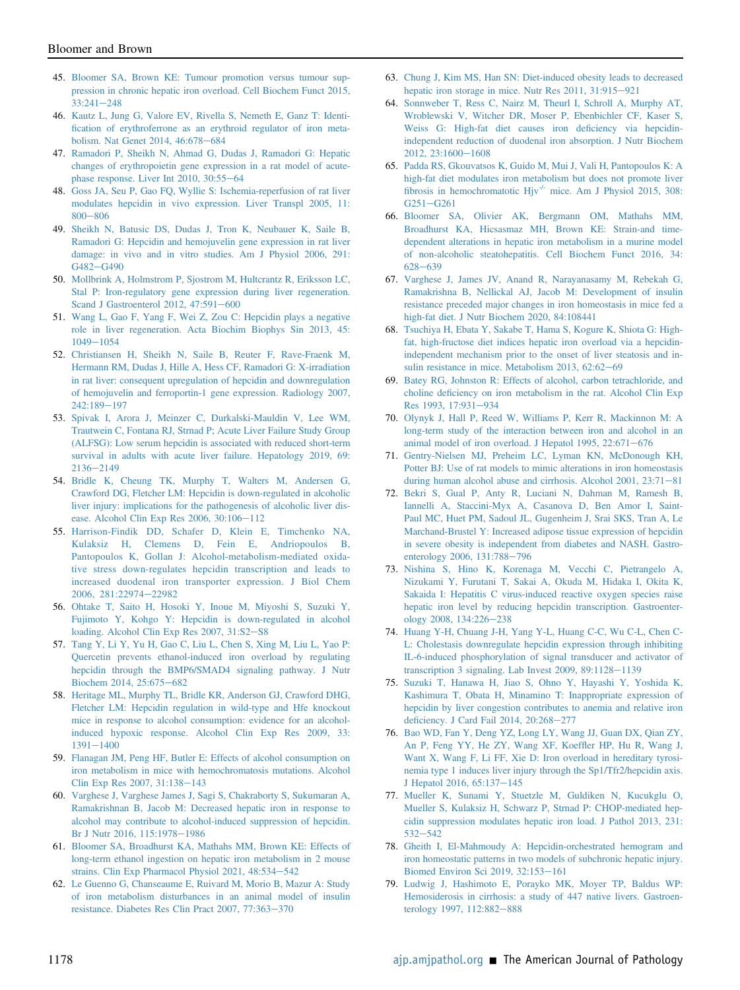- <span id="page-13-0"></span>45. [Bloomer SA, Brown KE: Tumour promotion versus tumour sup](http://refhub.elsevier.com/S0002-9440(21)00156-5/sref45)[pression in chronic hepatic iron overload. Cell Biochem Funct 2015,](http://refhub.elsevier.com/S0002-9440(21)00156-5/sref45)  $33:241 - 248$  $33:241 - 248$  $33:241 - 248$
- <span id="page-13-1"></span>46. [Kautz L, Jung G, Valore EV, Rivella S, Nemeth E, Ganz T: Identi](http://refhub.elsevier.com/S0002-9440(21)00156-5/sref46)fi[cation of erythroferrone as an erythroid regulator of iron meta](http://refhub.elsevier.com/S0002-9440(21)00156-5/sref46)[bolism. Nat Genet 2014, 46:678](http://refhub.elsevier.com/S0002-9440(21)00156-5/sref46)-[684](http://refhub.elsevier.com/S0002-9440(21)00156-5/sref46)
- <span id="page-13-2"></span>47. [Ramadori P, Sheikh N, Ahmad G, Dudas J, Ramadori G: Hepatic](http://refhub.elsevier.com/S0002-9440(21)00156-5/sref47) [changes of erythropoietin gene expression in a rat model of acute](http://refhub.elsevier.com/S0002-9440(21)00156-5/sref47)[phase response. Liver Int 2010, 30:55](http://refhub.elsevier.com/S0002-9440(21)00156-5/sref47)-[64](http://refhub.elsevier.com/S0002-9440(21)00156-5/sref47)
- <span id="page-13-3"></span>48. [Goss JA, Seu P, Gao FQ, Wyllie S: Ischemia-reperfusion of rat liver](http://refhub.elsevier.com/S0002-9440(21)00156-5/sref48) [modulates hepcidin in vivo expression. Liver Transpl 2005, 11:](http://refhub.elsevier.com/S0002-9440(21)00156-5/sref48) [800](http://refhub.elsevier.com/S0002-9440(21)00156-5/sref48)-[806](http://refhub.elsevier.com/S0002-9440(21)00156-5/sref48)
- <span id="page-13-4"></span>49. [Sheikh N, Batusic DS, Dudas J, Tron K, Neubauer K, Saile B,](http://refhub.elsevier.com/S0002-9440(21)00156-5/sref49) [Ramadori G: Hepcidin and hemojuvelin gene expression in rat liver](http://refhub.elsevier.com/S0002-9440(21)00156-5/sref49) [damage: in vivo and in vitro studies. Am J Physiol 2006, 291:](http://refhub.elsevier.com/S0002-9440(21)00156-5/sref49) [G482](http://refhub.elsevier.com/S0002-9440(21)00156-5/sref49)-[G490](http://refhub.elsevier.com/S0002-9440(21)00156-5/sref49)
- <span id="page-13-6"></span>50. [Mollbrink A, Holmstrom P, Sjostrom M, Hultcrantz R, Eriksson LC,](http://refhub.elsevier.com/S0002-9440(21)00156-5/sref50) [Stal P: Iron-regulatory gene expression during liver regeneration.](http://refhub.elsevier.com/S0002-9440(21)00156-5/sref50) [Scand J Gastroenterol 2012, 47:591](http://refhub.elsevier.com/S0002-9440(21)00156-5/sref50)-[600](http://refhub.elsevier.com/S0002-9440(21)00156-5/sref50)
- <span id="page-13-7"></span>51. [Wang L, Gao F, Yang F, Wei Z, Zou C: Hepcidin plays a negative](http://refhub.elsevier.com/S0002-9440(21)00156-5/sref51) [role in liver regeneration. Acta Biochim Biophys Sin 2013, 45:](http://refhub.elsevier.com/S0002-9440(21)00156-5/sref51)  $1049 - 1054$  $1049 - 1054$  $1049 - 1054$
- <span id="page-13-5"></span>52. [Christiansen H, Sheikh N, Saile B, Reuter F, Rave-Fraenk M,](http://refhub.elsevier.com/S0002-9440(21)00156-5/sref52) [Hermann RM, Dudas J, Hille A, Hess CF, Ramadori G: X-irradiation](http://refhub.elsevier.com/S0002-9440(21)00156-5/sref52) [in rat liver: consequent upregulation of hepcidin and downregulation](http://refhub.elsevier.com/S0002-9440(21)00156-5/sref52) [of hemojuvelin and ferroportin-1 gene expression. Radiology 2007,](http://refhub.elsevier.com/S0002-9440(21)00156-5/sref52) [242:189](http://refhub.elsevier.com/S0002-9440(21)00156-5/sref52)-[197](http://refhub.elsevier.com/S0002-9440(21)00156-5/sref52)
- <span id="page-13-8"></span>53. [Spivak I, Arora J, Meinzer C, Durkalski-Mauldin V, Lee WM,](http://refhub.elsevier.com/S0002-9440(21)00156-5/sref53) [Trautwein C, Fontana RJ, Strnad P; Acute Liver Failure Study Group](http://refhub.elsevier.com/S0002-9440(21)00156-5/sref53) [\(ALFSG\): Low serum hepcidin is associated with reduced short-term](http://refhub.elsevier.com/S0002-9440(21)00156-5/sref53) [survival in adults with acute liver failure. Hepatology 2019, 69:](http://refhub.elsevier.com/S0002-9440(21)00156-5/sref53) [2136](http://refhub.elsevier.com/S0002-9440(21)00156-5/sref53)-[2149](http://refhub.elsevier.com/S0002-9440(21)00156-5/sref53)
- <span id="page-13-9"></span>54. [Bridle K, Cheung TK, Murphy T, Walters M, Andersen G,](http://refhub.elsevier.com/S0002-9440(21)00156-5/sref54) [Crawford DG, Fletcher LM: Hepcidin is down-regulated in alcoholic](http://refhub.elsevier.com/S0002-9440(21)00156-5/sref54) [liver injury: implications for the pathogenesis of alcoholic liver dis](http://refhub.elsevier.com/S0002-9440(21)00156-5/sref54)[ease. Alcohol Clin Exp Res 2006, 30:106](http://refhub.elsevier.com/S0002-9440(21)00156-5/sref54)-[112](http://refhub.elsevier.com/S0002-9440(21)00156-5/sref54)
- <span id="page-13-10"></span>55. [Harrison-Findik DD, Schafer D, Klein E, Timchenko NA,](http://refhub.elsevier.com/S0002-9440(21)00156-5/sref55) [Kulaksiz H, Clemens D, Fein E, Andriopoulos B,](http://refhub.elsevier.com/S0002-9440(21)00156-5/sref55) [Pantopoulos K, Gollan J: Alcohol-metabolism-mediated oxida](http://refhub.elsevier.com/S0002-9440(21)00156-5/sref55)[tive stress down-regulates hepcidin transcription and leads to](http://refhub.elsevier.com/S0002-9440(21)00156-5/sref55) [increased duodenal iron transporter expression. J Biol Chem](http://refhub.elsevier.com/S0002-9440(21)00156-5/sref55) [2006, 281:22974](http://refhub.elsevier.com/S0002-9440(21)00156-5/sref55)-[22982](http://refhub.elsevier.com/S0002-9440(21)00156-5/sref55)
- <span id="page-13-11"></span>56. [Ohtake T, Saito H, Hosoki Y, Inoue M, Miyoshi S, Suzuki Y,](http://refhub.elsevier.com/S0002-9440(21)00156-5/sref56) [Fujimoto Y, Kohgo Y: Hepcidin is down-regulated in alcohol](http://refhub.elsevier.com/S0002-9440(21)00156-5/sref56) [loading. Alcohol Clin Exp Res 2007, 31:S2](http://refhub.elsevier.com/S0002-9440(21)00156-5/sref56)-[S8](http://refhub.elsevier.com/S0002-9440(21)00156-5/sref56)
- <span id="page-13-12"></span>57. [Tang Y, Li Y, Yu H, Gao C, Liu L, Chen S, Xing M, Liu L, Yao P:](http://refhub.elsevier.com/S0002-9440(21)00156-5/sref57) [Quercetin prevents ethanol-induced iron overload by regulating](http://refhub.elsevier.com/S0002-9440(21)00156-5/sref57) [hepcidin through the BMP6/SMAD4 signaling pathway. J Nutr](http://refhub.elsevier.com/S0002-9440(21)00156-5/sref57) [Biochem 2014, 25:675](http://refhub.elsevier.com/S0002-9440(21)00156-5/sref57)-[682](http://refhub.elsevier.com/S0002-9440(21)00156-5/sref57)
- <span id="page-13-13"></span>58. [Heritage ML, Murphy TL, Bridle KR, Anderson GJ, Crawford DHG,](http://refhub.elsevier.com/S0002-9440(21)00156-5/sref58) [Fletcher LM: Hepcidin regulation in wild-type and Hfe knockout](http://refhub.elsevier.com/S0002-9440(21)00156-5/sref58) [mice in response to alcohol consumption: evidence for an alcohol](http://refhub.elsevier.com/S0002-9440(21)00156-5/sref58)[induced hypoxic response. Alcohol Clin Exp Res 2009, 33:](http://refhub.elsevier.com/S0002-9440(21)00156-5/sref58)  $1391 - 1400$  $1391 - 1400$  $1391 - 1400$
- <span id="page-13-14"></span>59. [Flanagan JM, Peng HF, Butler E: Effects of alcohol consumption on](http://refhub.elsevier.com/S0002-9440(21)00156-5/sref59) [iron metabolism in mice with hemochromatosis mutations. Alcohol](http://refhub.elsevier.com/S0002-9440(21)00156-5/sref59) [Clin Exp Res 2007, 31:138](http://refhub.elsevier.com/S0002-9440(21)00156-5/sref59)-[143](http://refhub.elsevier.com/S0002-9440(21)00156-5/sref59)
- <span id="page-13-15"></span>60. [Varghese J, Varghese James J, Sagi S, Chakraborty S, Sukumaran A,](http://refhub.elsevier.com/S0002-9440(21)00156-5/sref60) [Ramakrishnan B, Jacob M: Decreased hepatic iron in response to](http://refhub.elsevier.com/S0002-9440(21)00156-5/sref60) [alcohol may contribute to alcohol-induced suppression of hepcidin.](http://refhub.elsevier.com/S0002-9440(21)00156-5/sref60) [Br J Nutr 2016, 115:1978](http://refhub.elsevier.com/S0002-9440(21)00156-5/sref60)-[1986](http://refhub.elsevier.com/S0002-9440(21)00156-5/sref60)
- <span id="page-13-16"></span>61. [Bloomer SA, Broadhurst KA, Mathahs MM, Brown KE: Effects of](http://refhub.elsevier.com/S0002-9440(21)00156-5/sref61) [long-term ethanol ingestion on hepatic iron metabolism in 2 mouse](http://refhub.elsevier.com/S0002-9440(21)00156-5/sref61) [strains. Clin Exp Pharmacol Physiol 2021, 48:534](http://refhub.elsevier.com/S0002-9440(21)00156-5/sref61)-[542](http://refhub.elsevier.com/S0002-9440(21)00156-5/sref61)
- <span id="page-13-17"></span>62. [Le Guenno G, Chanseaume E, Ruivard M, Morio B, Mazur A: Study](http://refhub.elsevier.com/S0002-9440(21)00156-5/sref62) [of iron metabolism disturbances in an animal model of insulin](http://refhub.elsevier.com/S0002-9440(21)00156-5/sref62) [resistance. Diabetes Res Clin Pract 2007, 77:363](http://refhub.elsevier.com/S0002-9440(21)00156-5/sref62)-[370](http://refhub.elsevier.com/S0002-9440(21)00156-5/sref62)
- <span id="page-13-18"></span>63. [Chung J, Kim MS, Han SN: Diet-induced obesity leads to decreased](http://refhub.elsevier.com/S0002-9440(21)00156-5/sref63) [hepatic iron storage in mice. Nutr Res 2011, 31:915](http://refhub.elsevier.com/S0002-9440(21)00156-5/sref63)-[921](http://refhub.elsevier.com/S0002-9440(21)00156-5/sref63)
- <span id="page-13-19"></span>64. [Sonnweber T, Ress C, Nairz M, Theurl I, Schroll A, Murphy AT,](http://refhub.elsevier.com/S0002-9440(21)00156-5/sref64) [Wroblewski V, Witcher DR, Moser P, Ebenbichler CF, Kaser S,](http://refhub.elsevier.com/S0002-9440(21)00156-5/sref64) [Weiss G: High-fat diet causes iron de](http://refhub.elsevier.com/S0002-9440(21)00156-5/sref64)ficiency via hepcidin[independent reduction of duodenal iron absorption. J Nutr Biochem](http://refhub.elsevier.com/S0002-9440(21)00156-5/sref64)  $2012, 23:1600 - 1608$  $2012, 23:1600 - 1608$  $2012, 23:1600 - 1608$
- <span id="page-13-20"></span>65. [Padda RS, Gkouvatsos K, Guido M, Mui J, Vali H, Pantopoulos K: A](http://refhub.elsevier.com/S0002-9440(21)00156-5/sref65) [high-fat diet modulates iron metabolism but does not promote liver](http://refhub.elsevier.com/S0002-9440(21)00156-5/sref65) fi[brosis](http://refhub.elsevier.com/S0002-9440(21)00156-5/sref65) [in](http://refhub.elsevier.com/S0002-9440(21)00156-5/sref65) [hemochromatotic](http://refhub.elsevier.com/S0002-9440(21)00156-5/sref65) Hjv<sup>-/-</sup> [mice. Am J Physiol 2015, 308:](http://refhub.elsevier.com/S0002-9440(21)00156-5/sref65)  $G251 - G261$  $G251 - G261$  $G251 - G261$
- <span id="page-13-21"></span>66. [Bloomer SA, Olivier AK, Bergmann OM, Mathahs MM,](http://refhub.elsevier.com/S0002-9440(21)00156-5/sref66) [Broadhurst KA, Hicsasmaz MH, Brown KE: Strain-and time](http://refhub.elsevier.com/S0002-9440(21)00156-5/sref66)[dependent alterations in hepatic iron metabolism in a murine model](http://refhub.elsevier.com/S0002-9440(21)00156-5/sref66) [of non-alcoholic steatohepatitis. Cell Biochem Funct 2016, 34:](http://refhub.elsevier.com/S0002-9440(21)00156-5/sref66)  $628 - 639$  $628 - 639$  $628 - 639$
- <span id="page-13-22"></span>67. [Varghese J, James JV, Anand R, Narayanasamy M, Rebekah G,](http://refhub.elsevier.com/S0002-9440(21)00156-5/sref67) [Ramakrishna B, Nellickal AJ, Jacob M: Development of insulin](http://refhub.elsevier.com/S0002-9440(21)00156-5/sref67) [resistance preceded major changes in iron homeostasis in mice fed a](http://refhub.elsevier.com/S0002-9440(21)00156-5/sref67) [high-fat diet. J Nutr Biochem 2020, 84:108441](http://refhub.elsevier.com/S0002-9440(21)00156-5/sref67)
- <span id="page-13-23"></span>68. [Tsuchiya H, Ebata Y, Sakabe T, Hama S, Kogure K, Shiota G: High](http://refhub.elsevier.com/S0002-9440(21)00156-5/sref68)[fat, high-fructose diet indices hepatic iron overload via a hepcidin](http://refhub.elsevier.com/S0002-9440(21)00156-5/sref68)[independent mechanism prior to the onset of liver steatosis and in](http://refhub.elsevier.com/S0002-9440(21)00156-5/sref68)[sulin resistance in mice. Metabolism 2013, 62:62](http://refhub.elsevier.com/S0002-9440(21)00156-5/sref68)-[69](http://refhub.elsevier.com/S0002-9440(21)00156-5/sref68)
- <span id="page-13-30"></span>69. [Batey RG, Johnston R: Effects of alcohol, carbon tetrachloride, and](http://refhub.elsevier.com/S0002-9440(21)00156-5/sref69) choline defi[ciency on iron metabolism in the rat. Alcohol Clin Exp](http://refhub.elsevier.com/S0002-9440(21)00156-5/sref69) [Res 1993, 17:931](http://refhub.elsevier.com/S0002-9440(21)00156-5/sref69)-[934](http://refhub.elsevier.com/S0002-9440(21)00156-5/sref69)
- 70. [Olynyk J, Hall P, Reed W, Williams P, Kerr R, Mackinnon M: A](http://refhub.elsevier.com/S0002-9440(21)00156-5/sref70) [long-term study of the interaction between iron and alcohol in an](http://refhub.elsevier.com/S0002-9440(21)00156-5/sref70) animal model of iron overload. J Hepatol 1995,  $22:671-676$  $22:671-676$
- 71. [Gentry-Nielsen MJ, Preheim LC, Lyman KN, McDonough KH,](http://refhub.elsevier.com/S0002-9440(21)00156-5/sref71) [Potter BJ: Use of rat models to mimic alterations in iron homeostasis](http://refhub.elsevier.com/S0002-9440(21)00156-5/sref71) [during human alcohol abuse and cirrhosis. Alcohol 2001, 23:71](http://refhub.elsevier.com/S0002-9440(21)00156-5/sref71)-[81](http://refhub.elsevier.com/S0002-9440(21)00156-5/sref71)
- <span id="page-13-31"></span>72. [Bekri S, Gual P, Anty R, Luciani N, Dahman M, Ramesh B,](http://refhub.elsevier.com/S0002-9440(21)00156-5/sref72) [Iannelli A, Staccini-Myx A, Casanova D, Ben Amor I, Saint-](http://refhub.elsevier.com/S0002-9440(21)00156-5/sref72)[Paul MC, Huet PM, Sadoul JL, Gugenheim J, Srai SKS, Tran A, Le](http://refhub.elsevier.com/S0002-9440(21)00156-5/sref72) [Marchand-Brustel Y: Increased adipose tissue expression of hepcidin](http://refhub.elsevier.com/S0002-9440(21)00156-5/sref72) [in severe obesity is independent from diabetes and NASH. Gastro](http://refhub.elsevier.com/S0002-9440(21)00156-5/sref72)[enterology 2006, 131:788](http://refhub.elsevier.com/S0002-9440(21)00156-5/sref72)-[796](http://refhub.elsevier.com/S0002-9440(21)00156-5/sref72)
- <span id="page-13-24"></span>73. [Nishina S, Hino K, Korenaga M, Vecchi C, Pietrangelo A,](http://refhub.elsevier.com/S0002-9440(21)00156-5/sref73) [Nizukami Y, Furutani T, Sakai A, Okuda M, Hidaka I, Okita K,](http://refhub.elsevier.com/S0002-9440(21)00156-5/sref73) [Sakaida I: Hepatitis C virus-induced reactive oxygen species raise](http://refhub.elsevier.com/S0002-9440(21)00156-5/sref73) [hepatic iron level by reducing hepcidin transcription. Gastroenter](http://refhub.elsevier.com/S0002-9440(21)00156-5/sref73)[ology 2008, 134:226](http://refhub.elsevier.com/S0002-9440(21)00156-5/sref73)-[238](http://refhub.elsevier.com/S0002-9440(21)00156-5/sref73)
- <span id="page-13-25"></span>74. [Huang Y-H, Chuang J-H, Yang Y-L, Huang C-C, Wu C-L, Chen C-](http://refhub.elsevier.com/S0002-9440(21)00156-5/sref74)[L: Cholestasis downregulate hepcidin expression through inhibiting](http://refhub.elsevier.com/S0002-9440(21)00156-5/sref74) [IL-6-induced phosphorylation of signal transducer and activator of](http://refhub.elsevier.com/S0002-9440(21)00156-5/sref74) transcription 3 signaling. Lab Invest 2009,  $89:1128-1139$  $89:1128-1139$
- <span id="page-13-26"></span>75. [Suzuki T, Hanawa H, Jiao S, Ohno Y, Hayashi Y, Yoshida K,](http://refhub.elsevier.com/S0002-9440(21)00156-5/sref75) [Kashimura T, Obata H, Minamino T: Inappropriate expression of](http://refhub.elsevier.com/S0002-9440(21)00156-5/sref75) [hepcidin by liver congestion contributes to anemia and relative iron](http://refhub.elsevier.com/S0002-9440(21)00156-5/sref75) defi[ciency. J Card Fail 2014, 20:268](http://refhub.elsevier.com/S0002-9440(21)00156-5/sref75)-[277](http://refhub.elsevier.com/S0002-9440(21)00156-5/sref75)
- <span id="page-13-27"></span>76. [Bao WD, Fan Y, Deng YZ, Long LY, Wang JJ, Guan DX, Qian ZY,](http://refhub.elsevier.com/S0002-9440(21)00156-5/sref76) [An P, Feng YY, He ZY, Wang XF, Koef](http://refhub.elsevier.com/S0002-9440(21)00156-5/sref76)fler HP, Hu R, Wang J, [Want X, Wang F, Li FF, Xie D: Iron overload in hereditary tyrosi](http://refhub.elsevier.com/S0002-9440(21)00156-5/sref76)[nemia type 1 induces liver injury through the Sp1/Tfr2/hepcidin axis.](http://refhub.elsevier.com/S0002-9440(21)00156-5/sref76) [J Hepatol 2016, 65:137](http://refhub.elsevier.com/S0002-9440(21)00156-5/sref76)-[145](http://refhub.elsevier.com/S0002-9440(21)00156-5/sref76)
- <span id="page-13-28"></span>77. [Mueller K, Sunami Y, Stuetzle M, Guldiken N, Kucukglu O,](http://refhub.elsevier.com/S0002-9440(21)00156-5/sref77) [Mueller S, Kulaksiz H, Schwarz P, Strnad P: CHOP-mediated hep](http://refhub.elsevier.com/S0002-9440(21)00156-5/sref77)[cidin suppression modulates hepatic iron load. J Pathol 2013, 231:](http://refhub.elsevier.com/S0002-9440(21)00156-5/sref77)  $532 - 542$  $532 - 542$  $532 - 542$
- <span id="page-13-29"></span>78. [Gheith I, El-Mahmoudy A: Hepcidin-orchestrated hemogram and](http://refhub.elsevier.com/S0002-9440(21)00156-5/sref78) [iron homeostatic patterns in two models of subchronic hepatic injury.](http://refhub.elsevier.com/S0002-9440(21)00156-5/sref78) [Biomed Environ Sci 2019, 32:153](http://refhub.elsevier.com/S0002-9440(21)00156-5/sref78)-[161](http://refhub.elsevier.com/S0002-9440(21)00156-5/sref78)
- <span id="page-13-32"></span>79. [Ludwig J, Hashimoto E, Porayko MK, Moyer TP, Baldus WP:](http://refhub.elsevier.com/S0002-9440(21)00156-5/sref79) [Hemosiderosis in cirrhosis: a study of 447 native livers. Gastroen](http://refhub.elsevier.com/S0002-9440(21)00156-5/sref79)[terology 1997, 112:882](http://refhub.elsevier.com/S0002-9440(21)00156-5/sref79)-[888](http://refhub.elsevier.com/S0002-9440(21)00156-5/sref79)